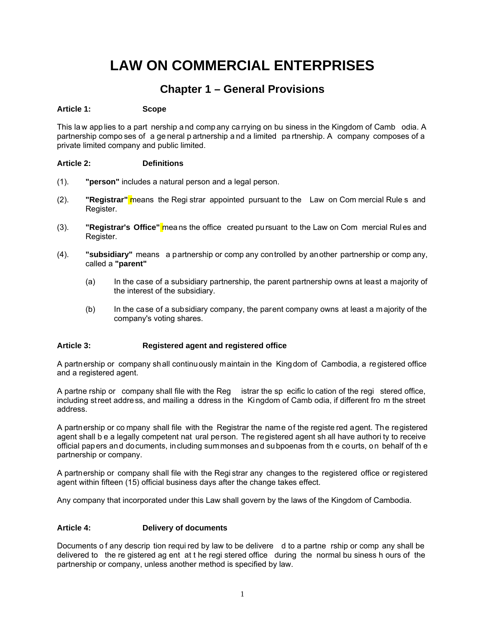# **LAW ON COMMERCIAL ENTERPRISES**

## **Chapter 1 – General Provisions**

## **Article 1: Scope**

This la w app lies to a part nership a nd comp any ca rrying on bu siness in the Kingdom of Camb odia. A partnership compo ses of a ge neral p artnership a nd a limited pa rtnership. A company composes of a private limited company and public limited.

## **Article 2: Definitions**

- (1). **"person"** includes a natural person and a legal person.
- (2). **"Registrar"** means the Regi strar appointed pursuant to the Law on Com mercial Rule s and Register.
- (3). **"Registrar's Office"** means the office created pursuant to the Law on Com mercial Rules and Register.
- (4). **"subsidiary"** means a partnership or comp any controlled by another partnership or comp any, called a **"parent"** 
	- (a) In the case of a subsidiary partnership, the parent partnership owns at least a majority of the interest of the subsidiary.
	- (b) In the case of a subsidiary company, the parent company owns at least a majority of the company's voting shares.

## **Article 3: Registered agent and registered office**

A partnership or company shall continuously maintain in the Kingdom of Cambodia, a registered office and a registered agent.

A partne rship or company shall file with the Reg istrar the sp ecific lo cation of the regi stered office, including street address, and mailing a ddress in the Ki ngdom of Camb odia, if different fro m the street address.

A partnership or co mpany shall file with the Registrar the name of the registe red agent. The registered agent shall b e a legally competent nat ural person. The registered agent sh all have authori ty to receive official papers and documents, including summonses and subpoenas from th e courts, on behalf of th e partnership or company.

A partnership or company shall file with the Regi strar any changes to the registered office or registered agent within fifteen (15) official business days after the change takes effect.

Any company that incorporated under this Law shall govern by the laws of the Kingdom of Cambodia.

#### **Article 4: Delivery of documents**

Documents o f any descrip tion requi red by law to be delivere d to a partne rship or comp any shall be delivered to the re gistered ag ent at t he regi stered office during the normal bu siness h ours of the partnership or company, unless another method is specified by law.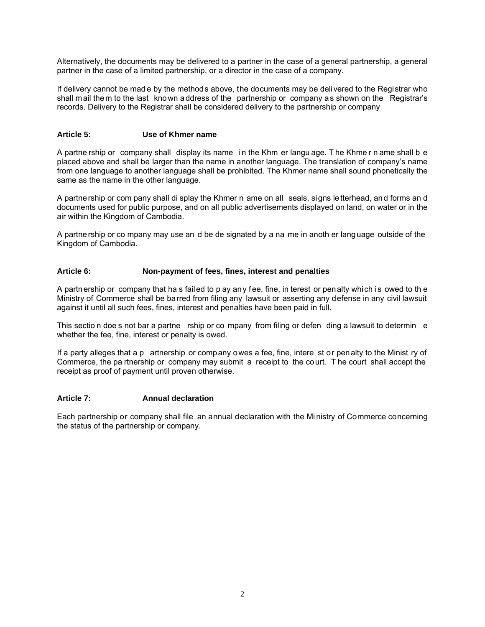Alternatively, the documents may be delivered to a partner in the case of a general partnership, a general partner in the case of a limited partnership, or a director in the case of a company.

If delivery cannot be mad e by the methods above, the documents may be delivered to the Registrar who shall mail them to the last known address of the partnership or company as shown on the Registrar's records. Delivery to the Registrar shall be considered delivery to the partnership or company

#### **Article 5: Use of Khmer name**

A partne rship or company shall display its name i n the Khm er langu age. T he Khme r n ame shall b e placed above and shall be larger than the name in another language. The translation of company's name from one language to another language shall be prohibited. The Khmer name shall sound phonetically the same as the name in the other language.

A partnership or com pany shall di splay the Khmer n ame on all seals, signs letterhead, and forms an d documents used for public purpose, and on all public advertisements displayed on land, on water or in the air within the Kingdom of Cambodia.

A partnership or co mpany may use an d be de signated by a na me in anoth er language outside of the Kingdom of Cambodia.

## **Article 6: Non-payment of fees, fines, interest and penalties**

A partnership or company that ha s failed to p ay any fee, fine, in terest or penalty which is owed to th e Ministry of Commerce shall be barred from filing any lawsuit or asserting any defense in any civil lawsuit against it until all such fees, fines, interest and penalties have been paid in full.

This sectio n doe s not bar a partne rship or co mpany from filing or defen ding a lawsuit to determin e whether the fee, fine, interest or penalty is owed.

If a party alleges that a p artnership or company owes a fee, fine, intere st or penalty to the Minist ry of Commerce, the pa rtnership or company may submit a receipt to the court. T he court shall accept the receipt as proof of payment until proven otherwise.

#### **Article 7: Annual declaration**

Each partnership or company shall file an annual declaration with the Mi nistry of Commerce concerning the status of the partnership or company.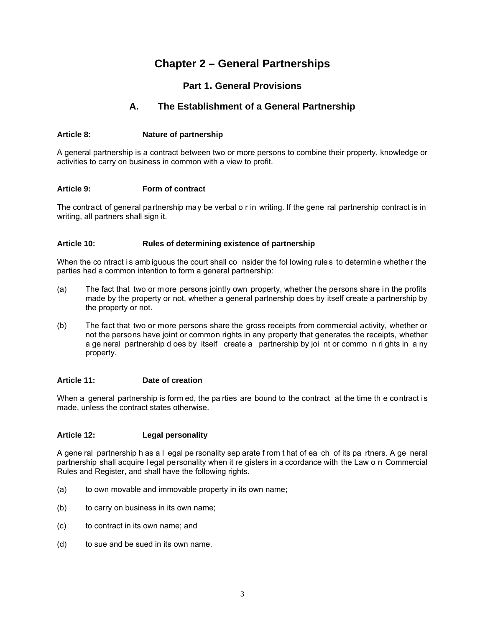## **Chapter 2 – General Partnerships**

## **Part 1. General Provisions**

## **A. The Establishment of a General Partnership**

## **Article 8: Nature of partnership**

A general partnership is a contract between two or more persons to combine their property, knowledge or activities to carry on business in common with a view to profit.

## **Article 9: Form of contract**

The contract of general partnership may be verbal o r in writing. If the gene ral partnership contract is in writing, all partners shall sign it.

## **Article 10: Rules of determining existence of partnership**

When the co ntract is ambiguous the court shall co nsider the fol lowing rules to determine whether the parties had a common intention to form a general partnership:

- (a) The fact that two or m ore persons jointly own property, whether t he persons share i n the profits made by the property or not, whether a general partnership does by itself create a partnership by the property or not.
- (b) The fact that two or more persons share the gross receipts from commercial activity, whether or not the persons have joint or common rights in any property that generates the receipts, whether a ge neral partnership d oes by itself create a partnership by joi nt or commo n ri ghts in a ny property.

#### **Article 11: Date of creation**

When a general partnership is form ed, the pa rties are bound to the contract at the time the contract is made, unless the contract states otherwise.

#### **Article 12: Legal personality**

A gene ral partnership h as a l egal pe rsonality sep arate f rom t hat of ea ch of its pa rtners. A ge neral partnership shall acquire l egal personality when it re gisters in a ccordance with the Law o n Commercial Rules and Register, and shall have the following rights.

- (a) to own movable and immovable property in its own name;
- (b) to carry on business in its own name;
- (c) to contract in its own name; and
- (d) to sue and be sued in its own name.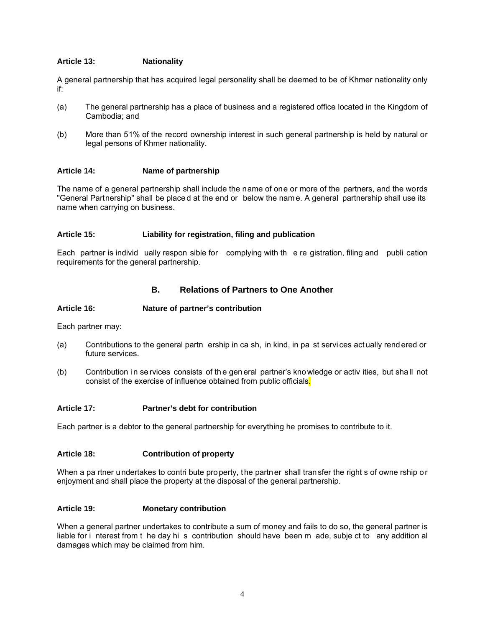## **Article 13: Nationality**

A general partnership that has acquired legal personality shall be deemed to be of Khmer nationality only if:

- (a) The general partnership has a place of business and a registered office located in the Kingdom of Cambodia; and
- (b) More than 51% of the record ownership interest in such general partnership is held by natural or legal persons of Khmer nationality.

## **Article 14: Name of partnership**

The name of a general partnership shall include the name of one or more of the partners, and the words "General Partnership" shall be place d at the end or below the nam e. A general partnership shall use its name when carrying on business.

## **Article 15: Liability for registration, filing and publication**

Each partner is individ ually respon sible for complying with th e re gistration, filing and publi cation requirements for the general partnership.

## **B. Relations of Partners to One Another**

#### **Article 16: Nature of partner's contribution**

Each partner may:

- (a) Contributions to the general partn ership in ca sh, in kind, in pa st servi ces act ually rend ered or future services.
- (b) Contribution in se ryices consists of the general partner's kno wledge or activities, but shall not consist of the exercise of influence obtained from public officials.

#### **Article 17: Partner's debt for contribution**

Each partner is a debtor to the general partnership for everything he promises to contribute to it.

#### **Article 18: Contribution of property**

When a pa rtner undertakes to contri bute property, the partner shall transfer the right s of owne rship or enjoyment and shall place the property at the disposal of the general partnership.

#### **Article 19: Monetary contribution**

When a general partner undertakes to contribute a sum of money and fails to do so, the general partner is liable for i nterest from t he day hi s contribution should have been m ade, subje ct to any addition al damages which may be claimed from him.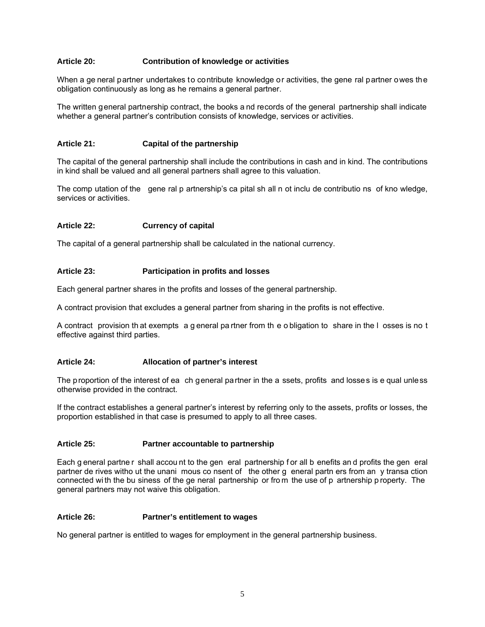## **Article 20: Contribution of knowledge or activities**

When a ge neral partner undertakes to contribute knowledge or activities, the gene ral partner owes the obligation continuously as long as he remains a general partner.

The written general partnership contract, the books a nd records of the general partnership shall indicate whether a general partner's contribution consists of knowledge, services or activities.

## **Article 21: Capital of the partnership**

The capital of the general partnership shall include the contributions in cash and in kind. The contributions in kind shall be valued and all general partners shall agree to this valuation.

The comp utation of the gene ral p artnership's ca pital sh all n ot inclu de contributio ns of kno wledge, services or activities.

#### **Article 22: Currency of capital**

The capital of a general partnership shall be calculated in the national currency.

#### **Article 23: Participation in profits and losses**

Each general partner shares in the profits and losses of the general partnership.

A contract provision that excludes a general partner from sharing in the profits is not effective.

A contract provision th at exempts a g eneral pa rtner from th e o bligation to share in the l osses is no t effective against third parties.

#### **Article 24: Allocation of partner's interest**

The proportion of the interest of ea ch general partner in the a ssets, profits and losses is e qual unless otherwise provided in the contract.

If the contract establishes a general partner's interest by referring only to the assets, profits or losses, the proportion established in that case is presumed to apply to all three cases.

## **Article 25: Partner accountable to partnership**

Each g eneral partne r shall accou nt to the gen eral partnership f or all b enefits and profits the gen eral partner de rives witho ut the unani mous co nsent of the other g eneral partn ers from an y transa ction connected wi th the bu siness of the ge neral partnership or fro m the use of p artnership p roperty. The general partners may not waive this obligation.

#### **Article 26: Partner's entitlement to wages**

No general partner is entitled to wages for employment in the general partnership business.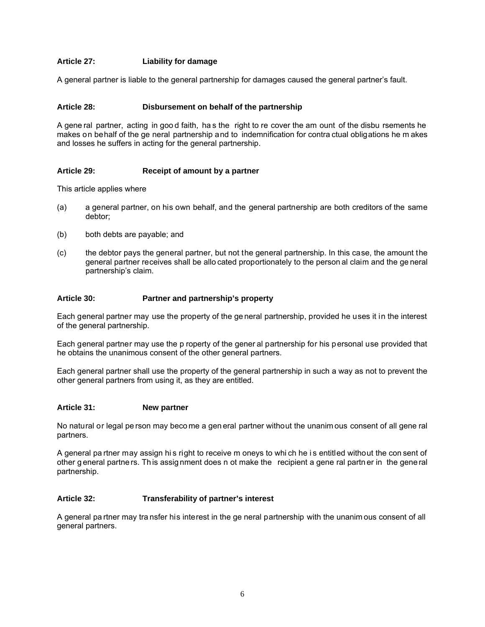## **Article 27: Liability for damage**

A general partner is liable to the general partnership for damages caused the general partner's fault.

## **Article 28: Disbursement on behalf of the partnership**

A gene ral partner, acting in goo d faith, ha s the right to re cover the am ount of the disbu rsements he makes on behalf of the ge neral partnership and to indemnification for contra ctual obligations he m akes and losses he suffers in acting for the general partnership.

## **Article 29: Receipt of amount by a partner**

This article applies where

- (a) a general partner, on his own behalf, and the general partnership are both creditors of the same debtor;
- (b) both debts are payable; and
- (c) the debtor pays the general partner, but not the general partnership. In this case, the amount the general partner receives shall be allo cated proportionately to the person al claim and the ge neral partnership's claim.

## **Article 30: Partner and partnership's property**

Each general partner may use the property of the ge neral partnership, provided he uses it in the interest of the general partnership.

Each general partner may use the p roperty of the gener al partnership for his personal use provided that he obtains the unanimous consent of the other general partners.

Each general partner shall use the property of the general partnership in such a way as not to prevent the other general partners from using it, as they are entitled.

#### **Article 31: New partner**

No natural or legal pe rson may beco me a gen eral partner without the unanim ous consent of all gene ral partners.

A general pa rtner may assign hi s right to receive m oneys to whi ch he i s entitled without the con sent of other g eneral partne rs. Th is assig nment does n ot make the recipient a gene ral partn er in the gene ral partnership.

#### **Article 32: Transferability of partner's interest**

A general pa rtner may tra nsfer his interest in the ge neral partnership with the unanim ous consent of all general partners.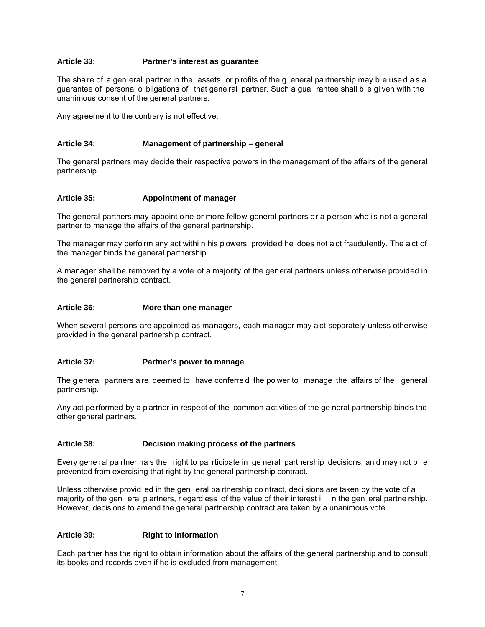## **Article 33: Partner's interest as guarantee**

The sha re of a gen eral partner in the assets or p rofits of the g eneral partnership may b e used as a guarantee of personal o bligations of that gene ral partner. Such a gua rantee shall b e gi ven with the unanimous consent of the general partners.

Any agreement to the contrary is not effective.

## **Article 34: Management of partnership – general**

The general partners may decide their respective powers in the management of the affairs of the general partnership.

#### **Article 35: Appointment of manager**

The general partners may appoint one or more fellow general partners or a person who is not a general partner to manage the affairs of the general partnership.

The manager may perfo rm any act withi n his p owers, provided he does not a ct fraudulently. The a ct of the manager binds the general partnership.

A manager shall be removed by a vote of a majority of the general partners unless otherwise provided in the general partnership contract.

#### **Article 36: More than one manager**

When several persons are appointed as managers, each manager may a ct separately unless otherwise provided in the general partnership contract.

#### **Article 37: Partner's power to manage**

The g eneral partners a re deemed to have conferre d the po wer to manage the affairs of the general partnership.

Any act pe rformed by a p artner in respect of the common activities of the ge neral partnership binds the other general partners.

## **Article 38: Decision making process of the partners**

Every gene ral pa rtner ha s the right to pa rticipate in ge neral partnership decisions, an d may not b e prevented from exercising that right by the general partnership contract.

Unless otherwise provid ed in the gen eral pa rtnership co ntract, deci sions are taken by the vote of a majority of the gen eral p artners, r egardless of the value of their interest in the gen eral partne rship. However, decisions to amend the general partnership contract are taken by a unanimous vote.

#### **Article 39: Right to information**

Each partner has the right to obtain information about the affairs of the general partnership and to consult its books and records even if he is excluded from management.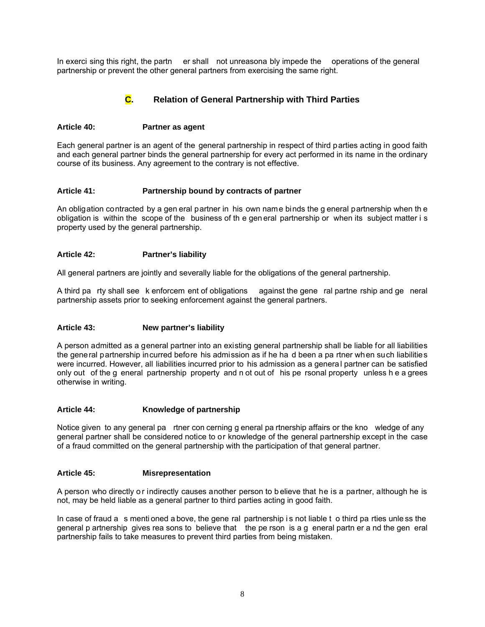In exerci sing this right, the partn er shall not unreasona bly impede the operations of the general partnership or prevent the other general partners from exercising the same right.

## **C. Relation of General Partnership with Third Parties**

## **Article 40: Partner as agent**

Each general partner is an agent of the general partnership in respect of third parties acting in good faith and each general partner binds the general partnership for every act performed in its name in the ordinary course of its business. Any agreement to the contrary is not effective.

## **Article 41: Partnership bound by contracts of partner**

An obligation contracted by a gen eral partner in his own name binds the g eneral partnership when th e obligation is within the scope of the business of th e gen eral partnership or when its subject matter i s property used by the general partnership.

## **Article 42: Partner's liability**

All general partners are jointly and severally liable for the obligations of the general partnership.

A third pa rty shall see k enforcem ent of obligations against the gene ral partne rship and ge neral partnership assets prior to seeking enforcement against the general partners.

## **Article 43: New partner's liability**

A person admitted as a general partner into an existing general partnership shall be liable for all liabilities the general partnership incurred before his admission as if he ha d been a pa rtner when such liabilities were incurred. However, all liabilities incurred prior to his admission as a general partner can be satisfied only out of the g eneral partnership property and n ot out of his pe rsonal property unless h e a grees otherwise in writing.

## **Article 44: Knowledge of partnership**

Notice given to any general pa rtner con cerning g eneral pa rtnership affairs or the kno wledge of any general partner shall be considered notice to or knowledge of the general partnership except in the case of a fraud committed on the general partnership with the participation of that general partner.

## **Article 45: Misrepresentation**

A person who directly o r indirectly causes another person to b elieve that he is a partner, although he is not, may be held liable as a general partner to third parties acting in good faith.

In case of fraud a s menti oned a bove, the gene ral partnership is not liable t o third pa rties unless the general p artnership gives rea sons to believe that the pe rson is a g eneral partn er a nd the gen eral partnership fails to take measures to prevent third parties from being mistaken.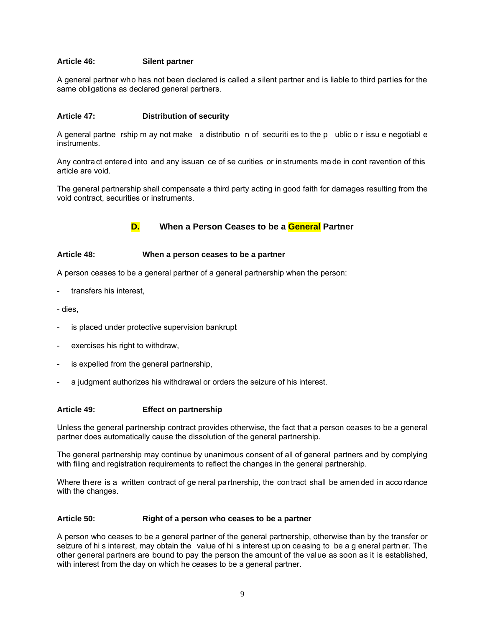## **Article 46: Silent partner**

A general partner who has not been declared is called a silent partner and is liable to third parties for the same obligations as declared general partners.

## **Article 47: Distribution of security**

A general partne rship m ay not make a distributio n of securiti es to the p ublic o r issu e negotiabl e instruments.

Any contra ct entere d into and any issuan ce of se curities or in struments ma de in cont ravention of this article are void.

The general partnership shall compensate a third party acting in good faith for damages resulting from the void contract, securities or instruments.

## **D. When a Person Ceases to be a General Partner**

## **Article 48: When a person ceases to be a partner**

A person ceases to be a general partner of a general partnership when the person:

transfers his interest,

- dies,

- is placed under protective supervision bankrupt
- exercises his right to withdraw,
- is expelled from the general partnership,
- a judgment authorizes his withdrawal or orders the seizure of his interest.

#### **Article 49: Effect on partnership**

Unless the general partnership contract provides otherwise, the fact that a person ceases to be a general partner does automatically cause the dissolution of the general partnership.

The general partnership may continue by unanimous consent of all of general partners and by complying with filing and registration requirements to reflect the changes in the general partnership.

Where there is a written contract of ge neral partnership, the contract shall be amended in accordance with the changes.

#### **Article 50: Right of a person who ceases to be a partner**

A person who ceases to be a general partner of the general partnership, otherwise than by the transfer or seizure of hi s interest, may obtain the value of hi s interest upon ceasing to be a g eneral partner. The other general partners are bound to pay the person the amount of the value as soon as it is established, with interest from the day on which he ceases to be a general partner.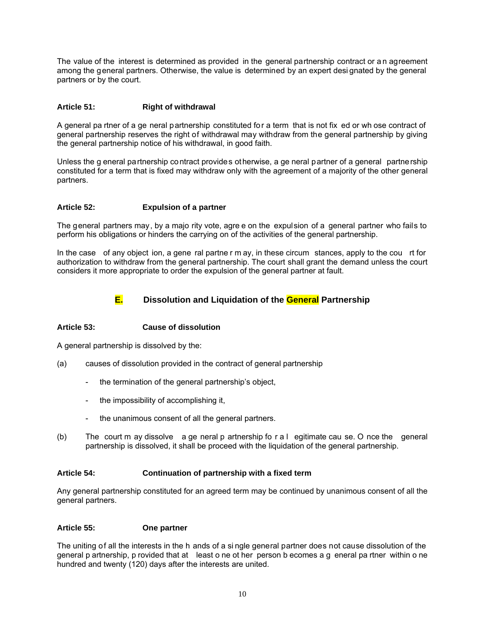The value of the interest is determined as provided in the general partnership contract or a n agreement among the general partners. Otherwise, the value is determined by an expert desi gnated by the general partners or by the court.

## **Article 51: Right of withdrawal**

A general pa rtner of a ge neral partnership constituted for a term that is not fix ed or wh ose contract of general partnership reserves the right of withdrawal may withdraw from the general partnership by giving the general partnership notice of his withdrawal, in good faith.

Unless the g eneral partnership contract provides otherwise, a ge neral partner of a general partnership constituted for a term that is fixed may withdraw only with the agreement of a majority of the other general partners.

## **Article 52: Expulsion of a partner**

The general partners may, by a majo rity vote, agre e on the expulsion of a general partner who fails to perform his obligations or hinders the carrying on of the activities of the general partnership.

In the case of any object ion, a gene ral partne r m ay, in these circum stances, apply to the cou rt for authorization to withdraw from the general partnership. The court shall grant the demand unless the court considers it more appropriate to order the expulsion of the general partner at fault.



## **E. Dissolution and Liquidation of the General Partnership**

## **Article 53: Cause of dissolution**

A general partnership is dissolved by the:

- (a) causes of dissolution provided in the contract of general partnership
	- the termination of the general partnership's object,
	- the impossibility of accomplishing it,
	- the unanimous consent of all the general partners.
- (b) The court m ay dissolve a ge neral p artnership fo r a l egitimate cau se. O nce the general partnership is dissolved, it shall be proceed with the liquidation of the general partnership.

#### **Article 54: Continuation of partnership with a fixed term**

Any general partnership constituted for an agreed term may be continued by unanimous consent of all the general partners.

#### **Article 55: One partner**

The uniting of all the interests in the h ands of a si ngle general partner does not cause dissolution of the general p artnership, p rovided that at least o ne ot her person b ecomes a g eneral pa rtner within o ne hundred and twenty (120) days after the interests are united.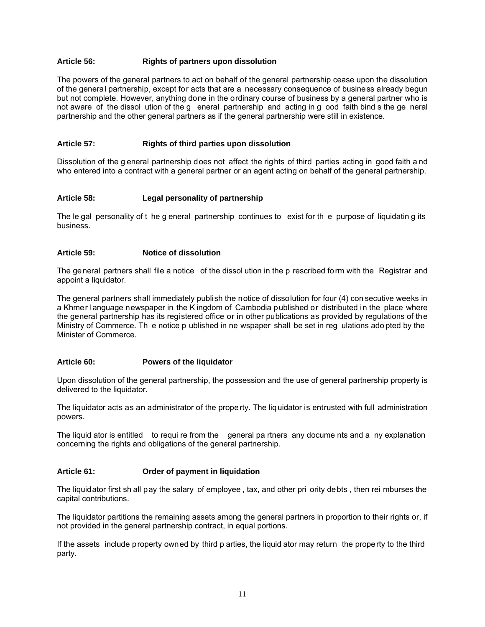## **Article 56: Rights of partners upon dissolution**

The powers of the general partners to act on behalf of the general partnership cease upon the dissolution of the general partnership, except for acts that are a necessary consequence of business already begun but not complete. However, anything done in the ordinary course of business by a general partner who is not aware of the dissol ution of the g eneral partnership and acting in g ood faith bind s the ge neral partnership and the other general partners as if the general partnership were still in existence.

## **Article 57: Rights of third parties upon dissolution**

Dissolution of the g eneral partnership does not affect the rights of third parties acting in good faith a nd who entered into a contract with a general partner or an agent acting on behalf of the general partnership.

## **Article 58: Legal personality of partnership**

The le gal personality of t he g eneral partnership continues to exist for th e purpose of liquidatin g its business.

#### **Article 59: Notice of dissolution**

The general partners shall file a notice of the dissol ution in the p rescribed form with the Registrar and appoint a liquidator.

The general partners shall immediately publish the notice of dissolution for four (4) con secutive weeks in a Khmer language newspaper in the K ingdom of Cambodia published or distributed in the place where the general partnership has its registered office or in other publications as provided by regulations of the Ministry of Commerce. Th e notice p ublished in ne wspaper shall be set in reg ulations ado pted by the Minister of Commerce.

#### **Article 60: Powers of the liquidator**

Upon dissolution of the general partnership, the possession and the use of general partnership property is delivered to the liquidator.

The liquidator acts as an administrator of the property. The liquidator is entrusted with full administration powers.

The liquid ator is entitled to requi re from the general pa rtners any docume nts and a ny explanation concerning the rights and obligations of the general partnership.

#### **Article 61: Order of payment in liquidation**

The liquidator first sh all pay the salary of employee , tax, and other pri ority debts , then rei mburses the capital contributions.

The liquidator partitions the remaining assets among the general partners in proportion to their rights or, if not provided in the general partnership contract, in equal portions.

If the assets include property owned by third p arties, the liquid ator may return the property to the third party.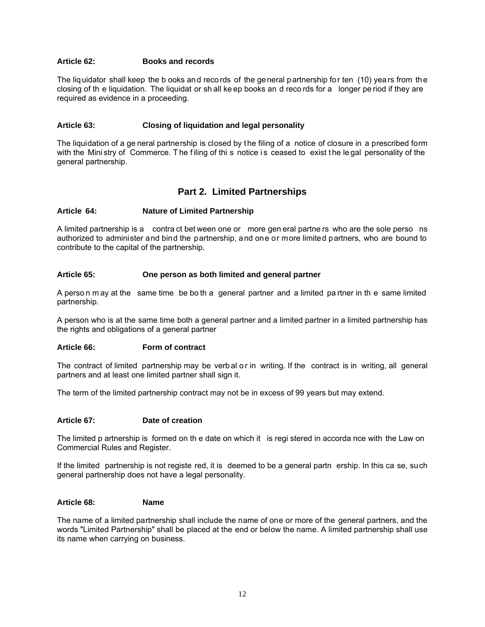## **Article 62: Books and records**

The liquidator shall keep the b ooks and records of the general partnership for ten (10) years from the closing of th e liquidation. The liquidat or sh all ke ep books an d reco rds for a longer pe riod if they are required as evidence in a proceeding.

#### **Article 63: Closing of liquidation and legal personality**

The liquidation of a ge neral partnership is closed by the filing of a notice of closure in a prescribed form with the Mini stry of Commerce. The filing of thi s notice is ceased to exist the legal personality of the general partnership.

## **Part 2. Limited Partnerships**

## **Article 64: Nature of Limited Partnership**

A limited partnership is a contra ct bet ween one or more gen eral partne rs who are the sole perso ns authorized to administer and bind the partnership, and one or more limited partners, who are bound to contribute to the capital of the partnership.

## **Article 65: One person as both limited and general partner**

A perso n m ay at the same time be bo th a general partner and a limited pa rtner in th e same limited partnership.

A person who is at the same time both a general partner and a limited partner in a limited partnership has the rights and obligations of a general partner

#### **Article 66: Form of contract**

The contract of limited partnership may be verbal or in writing. If the contract is in writing, all general partners and at least one limited partner shall sign it.

The term of the limited partnership contract may not be in excess of 99 years but may extend.

#### **Article 67: Date of creation**

The limited p artnership is formed on th e date on which it is regi stered in accorda nce with the Law on Commercial Rules and Register.

If the limited partnership is not registe red, it is deemed to be a general partn ership. In this ca se, such general partnership does not have a legal personality.

#### **Article 68: Name**

The name of a limited partnership shall include the name of one or more of the general partners, and the words "Limited Partnership" shall be placed at the end or below the name. A limited partnership shall use its name when carrying on business.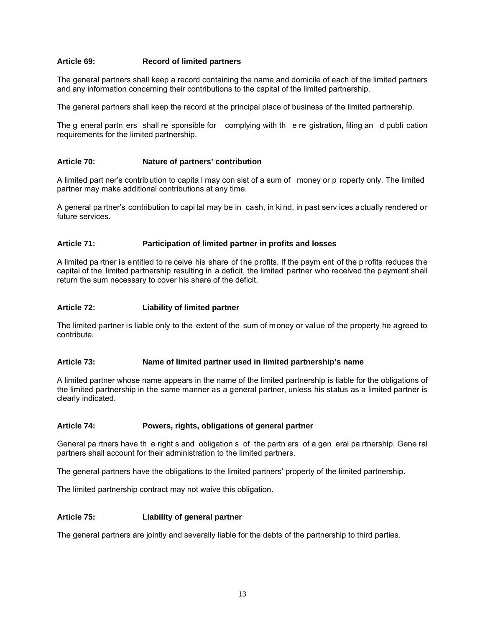## **Article 69: Record of limited partners**

The general partners shall keep a record containing the name and domicile of each of the limited partners and any information concerning their contributions to the capital of the limited partnership.

The general partners shall keep the record at the principal place of business of the limited partnership.

The g eneral partn ers shall re sponsible for complying with th e re gistration, filing an d publi cation requirements for the limited partnership.

#### **Article 70: Nature of partners' contribution**

A limited part ner's contribution to capita l may con sist of a sum of money or p roperty only. The limited partner may make additional contributions at any time.

A general pa rtner's contribution to capi tal may be in cash, in ki nd, in past serv ices actually rendered or future services.

## **Article 71: Participation of limited partner in profits and losses**

A limited pa rtner is entitled to re ceive his share of the profits. If the paym ent of the p rofits reduces the capital of the limited partnership resulting in a deficit, the limited partner who received the payment shall return the sum necessary to cover his share of the deficit.

#### **Article 72: Liability of limited partner**

The limited partner is liable only to the extent of the sum of money or value of the property he agreed to contribute.

#### **Article 73: Name of limited partner used in limited partnership's name**

A limited partner whose name appears in the name of the limited partnership is liable for the obligations of the limited partnership in the same manner as a general partner, unless his status as a limited partner is clearly indicated.

#### **Article 74: Powers, rights, obligations of general partner**

General pa rtners have th e right s and obligation s of the partn ers of a gen eral pa rtnership. Gene ral partners shall account for their administration to the limited partners.

The general partners have the obligations to the limited partners' property of the limited partnership.

The limited partnership contract may not waive this obligation.

#### **Article 75: Liability of general partner**

The general partners are jointly and severally liable for the debts of the partnership to third parties.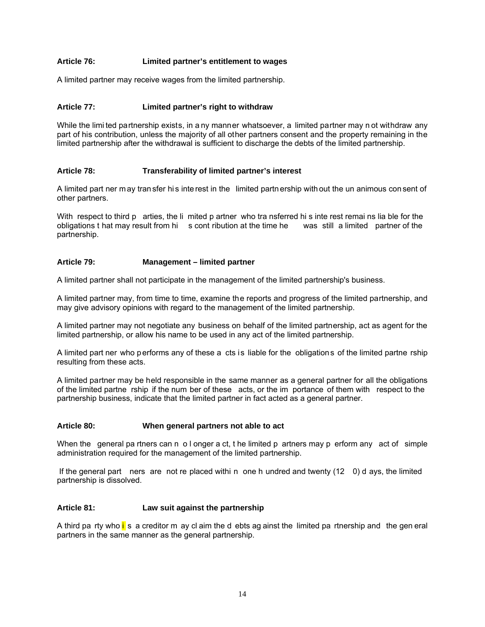## **Article 76: Limited partner's entitlement to wages**

A limited partner may receive wages from the limited partnership.

## **Article 77: Limited partner's right to withdraw**

While the limi ted partnership exists, in a ny manner whatsoever, a limited partner may n ot withdraw any part of his contribution, unless the majority of all other partners consent and the property remaining in the limited partnership after the withdrawal is sufficient to discharge the debts of the limited partnership.

## **Article 78: Transferability of limited partner's interest**

A limited part ner m ay tran sfer hi s inte rest in the limited partn ership with out the un animous con sent of other partners.

With respect to third p arties, the li mited p artner who tra nsferred hi s inte rest remai ns lia ble for the obligations t hat may result from hi s cont ribution at the time he was still a limited partner of the partnership.

#### **Article 79: Management – limited partner**

A limited partner shall not participate in the management of the limited partnership's business.

A limited partner may, from time to time, examine the reports and progress of the limited partnership, and may give advisory opinions with regard to the management of the limited partnership.

A limited partner may not negotiate any business on behalf of the limited partnership, act as agent for the limited partnership, or allow his name to be used in any act of the limited partnership.

A limited part ner who performs any of these a cts is liable for the obligations of the limited partne rship resulting from these acts.

A limited partner may be held responsible in the same manner as a general partner for all the obligations of the limited partne rship if the num ber of these acts, or the im portance of them with respect to the partnership business, indicate that the limited partner in fact acted as a general partner.

#### **Article 80: When general partners not able to act**

When the general pa rtners can n o l onger a ct, t he limited p artners may p erform any act of simple administration required for the management of the limited partnership.

 If the general part ners are not re placed withi n one h undred and twenty (12 0) d ays, the limited partnership is dissolved.

#### **Article 81: Law suit against the partnership**

A third pa rty who  $i$  s a creditor m ay cl aim the d ebts ag ainst the limited pa rtnership and the gen eral partners in the same manner as the general partnership.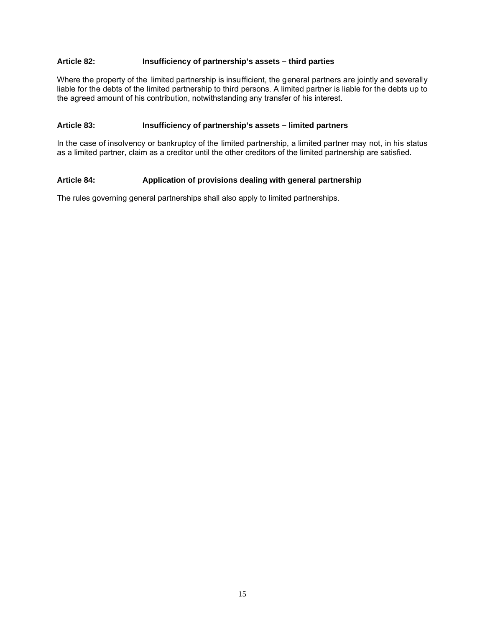## **Article 82: Insufficiency of partnership's assets – third parties**

Where the property of the limited partnership is insufficient, the general partners are jointly and severally liable for the debts of the limited partnership to third persons. A limited partner is liable for the debts up to the agreed amount of his contribution, notwithstanding any transfer of his interest.

#### **Article 83: Insufficiency of partnership's assets – limited partners**

In the case of insolvency or bankruptcy of the limited partnership, a limited partner may not, in his status as a limited partner, claim as a creditor until the other creditors of the limited partnership are satisfied.

## **Article 84: Application of provisions dealing with general partnership**

The rules governing general partnerships shall also apply to limited partnerships.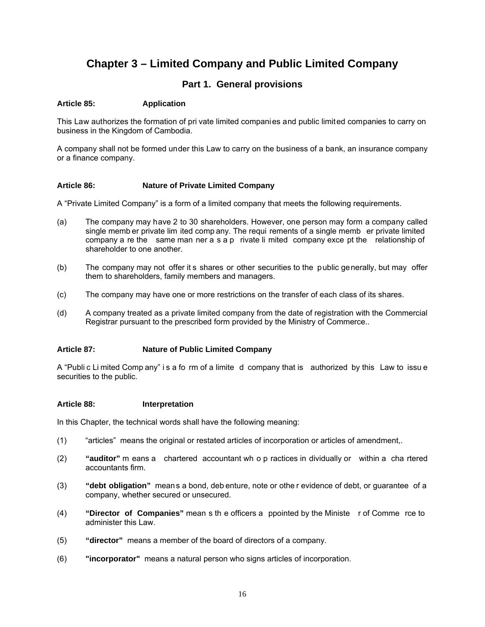## **Chapter 3 – Limited Company and Public Limited Company**

## **Part 1. General provisions**

## **Article 85: Application**

This Law authorizes the formation of pri vate limited companies and public limited companies to carry on business in the Kingdom of Cambodia.

A company shall not be formed under this Law to carry on the business of a bank, an insurance company or a finance company.

## **Article 86: Nature of Private Limited Company**

A "Private Limited Company" is a form of a limited company that meets the following requirements.

- (a) The company may have 2 to 30 shareholders. However, one person may form a company called single memb er private lim ited comp any. The requi rements of a single memb er private limited company a re the same man ner a s a p rivate li mited company exce pt the relationship of shareholder to one another.
- (b) The company may not offer it s shares or other securities to the public generally, but may offer them to shareholders, family members and managers.
- (c) The company may have one or more restrictions on the transfer of each class of its shares.
- (d) A company treated as a private limited company from the date of registration with the Commercial Registrar pursuant to the prescribed form provided by the Ministry of Commerce..

#### **Article 87: Nature of Public Limited Company**

A "Publi c Li mited Comp any" i s a fo rm of a limite d company that is authorized by this Law to issu e securities to the public.

#### **Article 88: Interpretation**

In this Chapter, the technical words shall have the following meaning:

- (1) "articles" means the original or restated articles of incorporation or articles of amendment,.
- (2) **"auditor"** m eans a chartered accountant wh o p ractices in dividually or within a cha rtered accountants firm.
- (3) **"debt obligation"** means a bond, deb enture, note or othe r evidence of debt, or guarantee of a company, whether secured or unsecured.
- (4) **"Director of Companies"** mean s th e officers a ppointed by the Ministe r of Comme rce to administer this Law.
- (5) **"director"** means a member of the board of directors of a company.
- (6) **"incorporator"** means a natural person who signs articles of incorporation.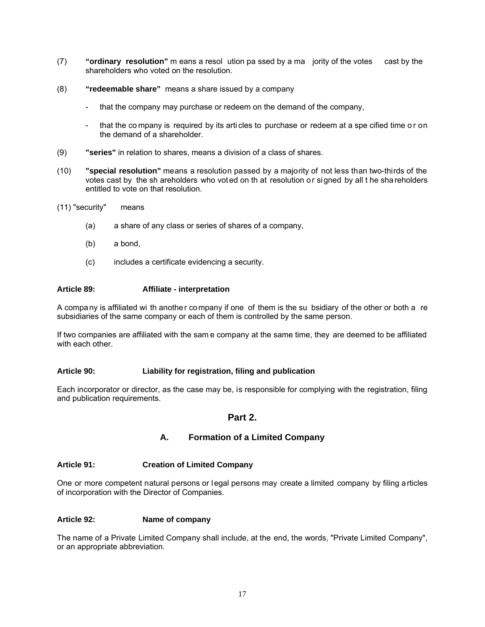- (7) **"ordinary resolution"** m eans a resol ution pa ssed by a ma jority of the votes cast by the shareholders who voted on the resolution.
- (8) **"redeemable share"** means a share issued by a company
	- that the company may purchase or redeem on the demand of the company,
	- that the company is required by its articles to purchase or redeem at a spe cified time or on the demand of a shareholder.
- (9) **"series"** in relation to shares, means a division of a class of shares.
- (10) **"special resolution"** means a resolution passed by a majority of not less than two-thirds of the votes cast by the sh areholders who voted on th at resolution or signed by all t he shareholders entitled to vote on that resolution.
- (11) "security" means
	- (a) a share of any class or series of shares of a company,
	- (b) a bond,
	- (c) includes a certificate evidencing a security.

## **Article 89: Affiliate - interpretation**

A company is affiliated wi th another company if one of them is the su bsidiary of the other or both a re subsidiaries of the same company or each of them is controlled by the same person.

If two companies are affiliated with the sam e company at the same time, they are deemed to be affiliated with each other.

#### **Article 90: Liability for registration, filing and publication**

Each incorporator or director, as the case may be, is responsible for complying with the registration, filing and publication requirements.

## **Part 2.**

## **A. Formation of a Limited Company**

## **Article 91: Creation of Limited Company**

One or more competent natural persons or legal persons may create a limited company by filing articles of incorporation with the Director of Companies.

## **Article 92: Name of company**

The name of a Private Limited Company shall include, at the end, the words, "Private Limited Company", or an appropriate abbreviation.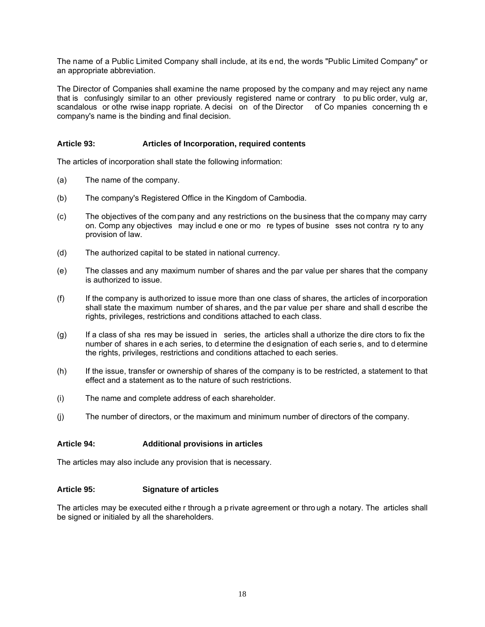The name of a Public Limited Company shall include, at its end, the words "Public Limited Company" or an appropriate abbreviation.

The Director of Companies shall examine the name proposed by the company and may reject any name that is confusingly similar to an other previously registered name or contrary to pu blic order, vulg ar, scandalous or othe rwise inapp ropriate. A decisi on of the Director of Co mpanies concerning the company's name is the binding and final decision.

## **Article 93: Articles of Incorporation, required contents**

The articles of incorporation shall state the following information:

- (a) The name of the company.
- (b) The company's Registered Office in the Kingdom of Cambodia.
- (c) The objectives of the com pany and any restrictions on the business that the co mpany may carry on. Comp any objectives may includ e one or mo re types of busine sses not contra ry to any provision of law.
- (d) The authorized capital to be stated in national currency.
- (e) The classes and any maximum number of shares and the par value per shares that the company is authorized to issue.
- (f) If the company is authorized to issue more than one class of shares, the articles of incorporation shall state the maximum number of shares, and the par value per share and shall d escribe the rights, privileges, restrictions and conditions attached to each class.
- (g) If a class of sha res may be issued in series, the articles shall a uthorize the dire ctors to fix the number of shares in e ach series, to d etermine the d esignation of each serie s, and to d etermine the rights, privileges, restrictions and conditions attached to each series.
- (h) If the issue, transfer or ownership of shares of the company is to be restricted, a statement to that effect and a statement as to the nature of such restrictions.
- (i) The name and complete address of each shareholder.
- (j) The number of directors, or the maximum and minimum number of directors of the company.

## **Article 94: Additional provisions in articles**

The articles may also include any provision that is necessary.

#### **Article 95: Signature of articles**

The articles may be executed eithe r through a p rivate agreement or thro ugh a notary. The articles shall be signed or initialed by all the shareholders.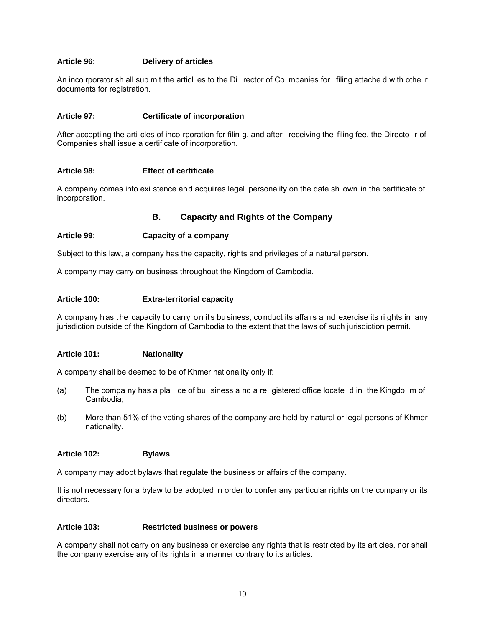## **Article 96: Delivery of articles**

An inco rporator sh all sub mit the articl es to the Di rector of Co mpanies for filing attache d with othe r documents for registration.

#### **Article 97: Certificate of incorporation**

After accepti ng the arti cles of inco rporation for filin g, and after receiving the filing fee, the Directo r of Companies shall issue a certificate of incorporation.

#### **Article 98: Effect of certificate**

A company comes into exi stence and acquires legal personality on the date sh own in the certificate of incorporation.

## **B. Capacity and Rights of the Company**

## **Article 99: Capacity of a company**

Subject to this law, a company has the capacity, rights and privileges of a natural person.

A company may carry on business throughout the Kingdom of Cambodia.

#### **Article 100: Extra-territorial capacity**

A company has the capacity to carry on its business, conduct its affairs a nd exercise its ri ghts in any jurisdiction outside of the Kingdom of Cambodia to the extent that the laws of such jurisdiction permit.

#### **Article 101: Nationality**

A company shall be deemed to be of Khmer nationality only if:

- (a) The compa ny has a pla ce of bu siness a nd a re gistered office locate d in the Kingdo m of Cambodia;
- (b) More than 51% of the voting shares of the company are held by natural or legal persons of Khmer nationality.

#### **Article 102: Bylaws**

A company may adopt bylaws that regulate the business or affairs of the company.

It is not necessary for a bylaw to be adopted in order to confer any particular rights on the company or its directors.

#### **Article 103: Restricted business or powers**

A company shall not carry on any business or exercise any rights that is restricted by its articles, nor shall the company exercise any of its rights in a manner contrary to its articles.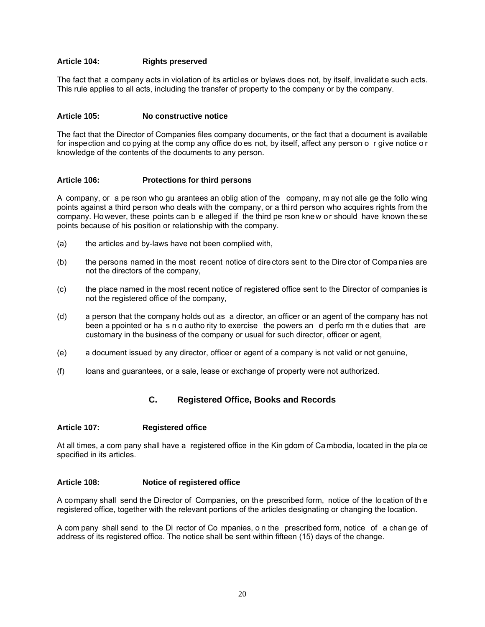## **Article 104: Rights preserved**

The fact that a company acts in violation of its articl es or bylaws does not, by itself, invalidat e such acts. This rule applies to all acts, including the transfer of property to the company or by the company.

#### **Article 105: No constructive notice**

The fact that the Director of Companies files company documents, or the fact that a document is available for inspection and co pying at the comp any office do es not, by itself, affect any person o r give notice o r knowledge of the contents of the documents to any person.

#### **Article 106: Protections for third persons**

A company, or a pe rson who gu arantees an oblig ation of the company, m ay not alle ge the follo wing points against a third person who deals with the company, or a third person who acquires rights from the company. However, these points can b e alleged if the third pe rson knew or should have known these points because of his position or relationship with the company.

- (a) the articles and by-laws have not been complied with,
- (b) the persons named in the most recent notice of dire ctors sent to the Dire ctor of Compa nies are not the directors of the company,
- (c) the place named in the most recent notice of registered office sent to the Director of companies is not the registered office of the company,
- (d) a person that the company holds out as a director, an officer or an agent of the company has not been a ppointed or ha s n o autho rity to exercise the powers an d perfo rm th e duties that are customary in the business of the company or usual for such director, officer or agent,
- (e) a document issued by any director, officer or agent of a company is not valid or not genuine,
- (f) loans and guarantees, or a sale, lease or exchange of property were not authorized.

## **C. Registered Office, Books and Records**

## **Article 107: Registered office**

At all times, a com pany shall have a registered office in the Kin gdom of Ca mbodia, located in the pla ce specified in its articles.

## **Article 108: Notice of registered office**

A company shall send the Director of Companies, on the prescribed form, notice of the location of th e registered office, together with the relevant portions of the articles designating or changing the location.

A com pany shall send to the Di rector of Co mpanies, o n the prescribed form, notice of a chan ge of address of its registered office. The notice shall be sent within fifteen (15) days of the change.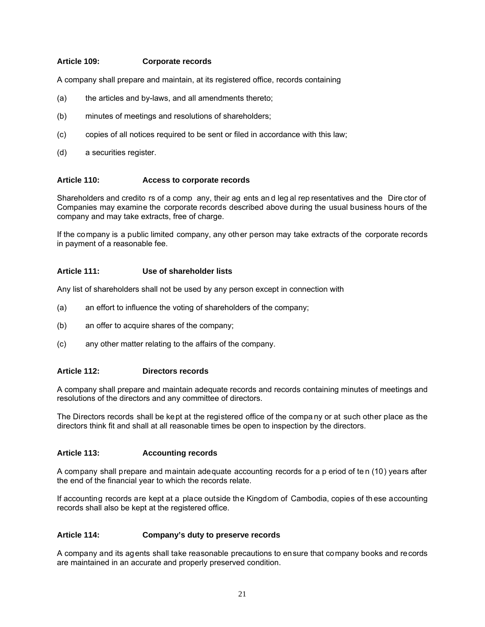## **Article 109: Corporate records**

A company shall prepare and maintain, at its registered office, records containing

- (a) the articles and by-laws, and all amendments thereto;
- (b) minutes of meetings and resolutions of shareholders;
- (c) copies of all notices required to be sent or filed in accordance with this law;
- (d) a securities register.

#### **Article 110: Access to corporate records**

Shareholders and credito rs of a comp any, their ag ents an d leg al rep resentatives and the Dire ctor of Companies may examine the corporate records described above during the usual business hours of the company and may take extracts, free of charge.

If the company is a public limited company, any other person may take extracts of the corporate records in payment of a reasonable fee.

#### **Article 111: Use of shareholder lists**

Any list of shareholders shall not be used by any person except in connection with

- (a) an effort to influence the voting of shareholders of the company;
- (b) an offer to acquire shares of the company;
- (c) any other matter relating to the affairs of the company.

#### **Article 112: Directors records**

A company shall prepare and maintain adequate records and records containing minutes of meetings and resolutions of the directors and any committee of directors.

The Directors records shall be kept at the registered office of the compa ny or at such other place as the directors think fit and shall at all reasonable times be open to inspection by the directors.

#### **Article 113: Accounting records**

A company shall prepare and maintain adequate accounting records for a p eriod of te n (10) years after the end of the financial year to which the records relate.

If accounting records are kept at a place outside the Kingdom of Cambodia, copies of th ese accounting records shall also be kept at the registered office.

#### **Article 114: Company's duty to preserve records**

A company and its agents shall take reasonable precautions to ensure that company books and records are maintained in an accurate and properly preserved condition.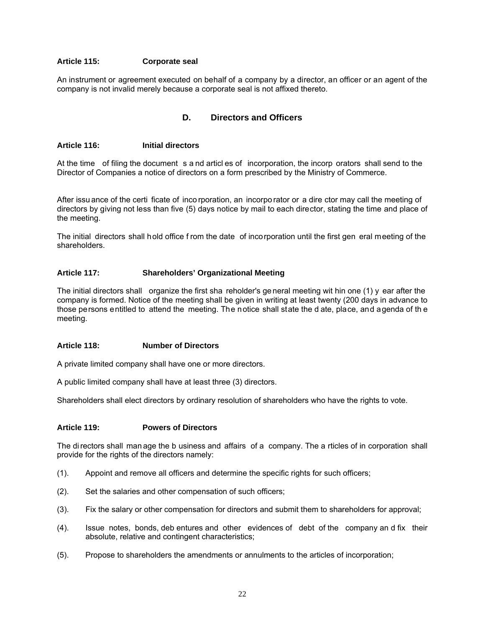## **Article 115: Corporate seal**

An instrument or agreement executed on behalf of a company by a director, an officer or an agent of the company is not invalid merely because a corporate seal is not affixed thereto.

## **D. Directors and Officers**

#### **Article 116: Initial directors**

At the time of filing the document s a nd articl es of incorporation, the incorp orators shall send to the Director of Companies a notice of directors on a form prescribed by the Ministry of Commerce.

After issu ance of the certi ficate of inco rporation, an incorpo rator or a dire ctor may call the meeting of directors by giving not less than five (5) days notice by mail to each director, stating the time and place of the meeting.

The initial directors shall hold office f rom the date of incorporation until the first gen eral meeting of the shareholders.

## **Article 117: Shareholders' Organizational Meeting**

The initial directors shall organize the first sha reholder's ge neral meeting wit hin one (1) y ear after the company is formed. Notice of the meeting shall be given in writing at least twenty (200 days in advance to those persons entitled to attend the meeting. The notice shall state the d ate, place, and agenda of th e meeting.

#### **Article 118: Number of Directors**

A private limited company shall have one or more directors.

A public limited company shall have at least three (3) directors.

Shareholders shall elect directors by ordinary resolution of shareholders who have the rights to vote.

## **Article 119: Powers of Directors**

The di rectors shall man age the b usiness and affairs of a company. The a rticles of in corporation shall provide for the rights of the directors namely:

- (1). Appoint and remove all officers and determine the specific rights for such officers;
- (2). Set the salaries and other compensation of such officers;
- (3). Fix the salary or other compensation for directors and submit them to shareholders for approval;
- (4). Issue notes, bonds, deb entures and other evidences of debt of the company an d fix their absolute, relative and contingent characteristics;
- (5). Propose to shareholders the amendments or annulments to the articles of incorporation;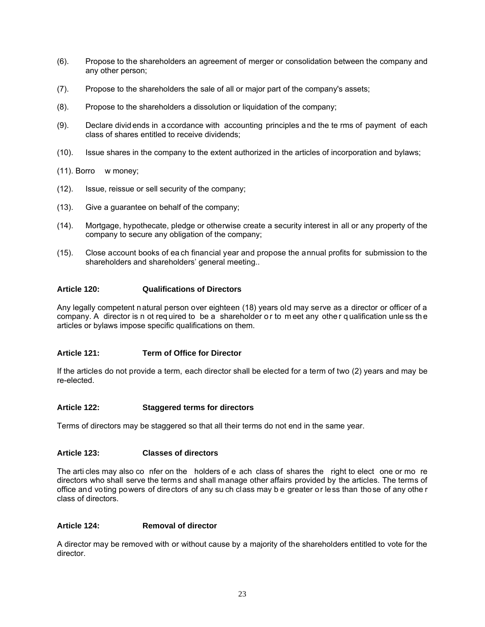- (6). Propose to the shareholders an agreement of merger or consolidation between the company and any other person;
- (7). Propose to the shareholders the sale of all or major part of the company's assets;
- (8). Propose to the shareholders a dissolution or liquidation of the company;
- (9). Declare divid ends in a ccordance with accounting principles a nd the te rms of payment of each class of shares entitled to receive dividends;
- (10). Issue shares in the company to the extent authorized in the articles of incorporation and bylaws;
- (11). Borro w money;
- (12). Issue, reissue or sell security of the company;
- (13). Give a guarantee on behalf of the company;
- (14). Mortgage, hypothecate, pledge or otherwise create a security interest in all or any property of the company to secure any obligation of the company;
- (15). Close account books of ea ch financial year and propose the annual profits for submission to the shareholders and shareholders' general meeting..

## **Article 120: Qualifications of Directors**

Any legally competent natural person over eighteen (18) years old may serve as a director or officer of a company. A director is n ot required to be a shareholder or to meet any other qualification unless the articles or bylaws impose specific qualifications on them.

## **Article 121: Term of Office for Director**

If the articles do not provide a term, each director shall be elected for a term of two (2) years and may be re-elected.

## **Article 122: Staggered terms for directors**

Terms of directors may be staggered so that all their terms do not end in the same year.

## **Article 123: Classes of directors**

The arti cles may also co nfer on the holders of e ach class of shares the right to elect one or mo re directors who shall serve the terms and shall manage other affairs provided by the articles. The terms of office and voting powers of directors of any su ch class may b e greater or less than those of any othe r class of directors.

## **Article 124: Removal of director**

A director may be removed with or without cause by a majority of the shareholders entitled to vote for the director.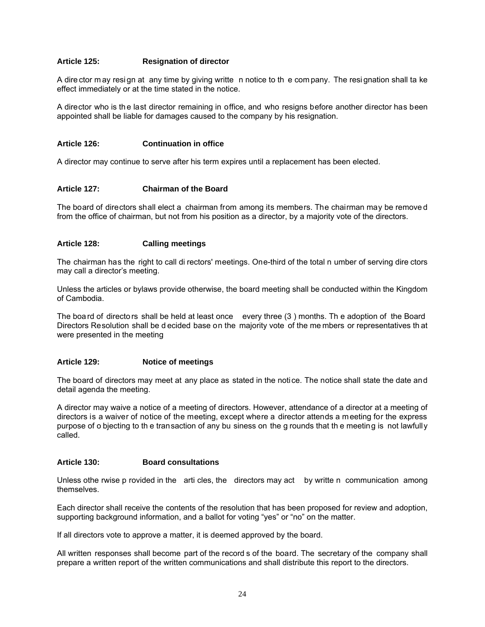## **Article 125: Resignation of director**

A dire ctor m ay resi gn at any time by giving writte n notice to th e com pany. The resi gnation shall ta ke effect immediately or at the time stated in the notice.

A director who is th e last director remaining in office, and who resigns before another director has been appointed shall be liable for damages caused to the company by his resignation.

#### **Article 126: Continuation in office**

A director may continue to serve after his term expires until a replacement has been elected.

#### **Article 127: Chairman of the Board**

The board of directors shall elect a chairman from among its members. The chairman may be remove d from the office of chairman, but not from his position as a director, by a majority vote of the directors.

## **Article 128: Calling meetings**

The chairman has the right to call di rectors' meetings. One-third of the total n umber of serving dire ctors may call a director's meeting.

Unless the articles or bylaws provide otherwise, the board meeting shall be conducted within the Kingdom of Cambodia.

The boa rd of directo rs shall be held at least once every three (3 ) months. Th e adoption of the Board Directors Resolution shall be d ecided base on the majority vote of the me mbers or representatives th at were presented in the meeting

#### **Article 129: Notice of meetings**

The board of directors may meet at any place as stated in the notice. The notice shall state the date and detail agenda the meeting.

A director may waive a notice of a meeting of directors. However, attendance of a director at a meeting of directors is a waiver of notice of the meeting, except where a director attends a meeting for the express purpose of o bjecting to th e transaction of any bu siness on the g rounds that th e meeting is not lawfully called.

#### **Article 130: Board consultations**

Unless othe rwise p rovided in the arti cles, the directors may act by writte n communication among themselves.

Each director shall receive the contents of the resolution that has been proposed for review and adoption, supporting background information, and a ballot for voting "yes" or "no" on the matter.

If all directors vote to approve a matter, it is deemed approved by the board.

All written responses shall become part of the record s of the board. The secretary of the company shall prepare a written report of the written communications and shall distribute this report to the directors.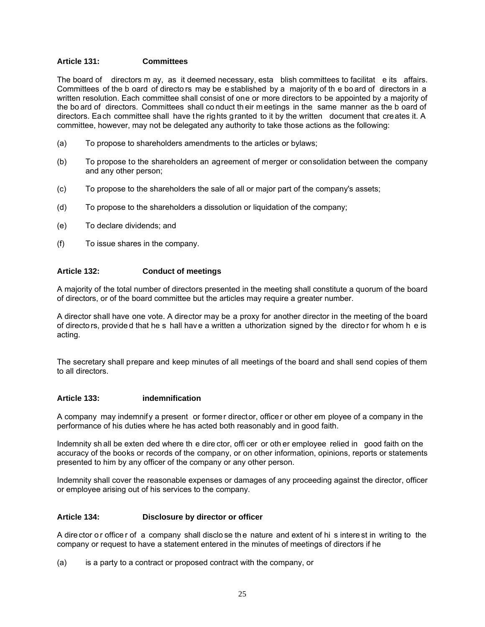## **Article 131: Committees**

The board of directors m ay, as it deemed necessary, esta blish committees to facilitat e its affairs. Committees of the b oard of directo rs may be e stablished by a majority of th e bo ard of directors in a written resolution. Each committee shall consist of one or more directors to be appointed by a majority of the bo ard of directors. Committees shall co nduct th eir m eetings in the same manner as the b oard of directors. Each committee shall have the rights granted to it by the written document that creates it. A committee, however, may not be delegated any authority to take those actions as the following:

- (a) To propose to shareholders amendments to the articles or bylaws;
- (b) To propose to the shareholders an agreement of merger or consolidation between the company and any other person;
- (c) To propose to the shareholders the sale of all or major part of the company's assets;
- (d) To propose to the shareholders a dissolution or liquidation of the company;
- (e) To declare dividends; and
- (f) To issue shares in the company.

## **Article 132: Conduct of meetings**

A majority of the total number of directors presented in the meeting shall constitute a quorum of the board of directors, or of the board committee but the articles may require a greater number.

A director shall have one vote. A director may be a proxy for another director in the meeting of the board of directo rs, provide d that he s hall hav e a written a uthorization signed by the directo r for whom h e is acting.

The secretary shall prepare and keep minutes of all meetings of the board and shall send copies of them to all directors.

#### **Article 133: indemnification**

A company may indemnify a present or former director, officer or other em ployee of a company in the performance of his duties where he has acted both reasonably and in good faith.

Indemnity sh all be exten ded where th e dire ctor, offi cer or oth er employee relied in good faith on the accuracy of the books or records of the company, or on other information, opinions, reports or statements presented to him by any officer of the company or any other person.

Indemnity shall cover the reasonable expenses or damages of any proceeding against the director, officer or employee arising out of his services to the company.

#### **Article 134: Disclosure by director or officer**

A dire ctor or office r of a company shall disclose the nature and extent of his interest in writing to the company or request to have a statement entered in the minutes of meetings of directors if he

(a) is a party to a contract or proposed contract with the company, or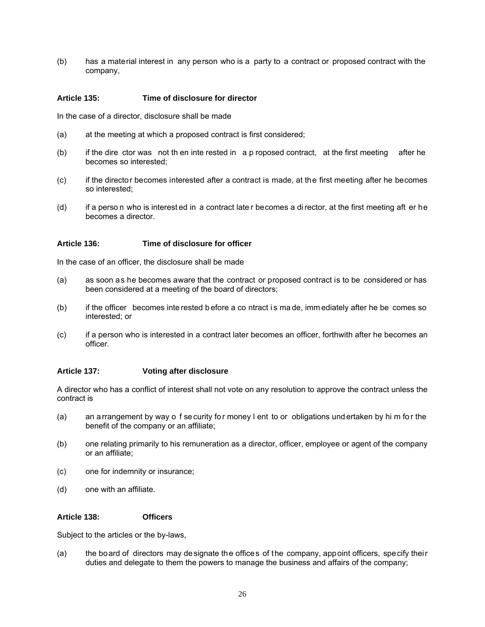(b) has a material interest in any person who is a party to a contract or proposed contract with the company,

## **Article 135: Time of disclosure for director**

In the case of a director, disclosure shall be made

- (a) at the meeting at which a proposed contract is first considered;
- (b) if the dire ctor was not th en inte rested in a p roposed contract, at the first meeting after he becomes so interested;
- (c) if the director becomes interested after a contract is made, at the first meeting after he becomes so interested;
- (d) if a perso n who is interest ed in a contract late r becomes a di rector, at the first meeting aft er he becomes a director.

## **Article 136: Time of disclosure for officer**

In the case of an officer, the disclosure shall be made

- (a) as soon as he becomes aware that the contract or proposed contract is to be considered or has been considered at a meeting of the board of directors;
- (b) if the officer becomes inte rested b efore a co ntract i s ma de, imm ediately after he be comes so interested; or
- (c) if a person who is interested in a contract later becomes an officer, forthwith after he becomes an officer.

## **Article 137: Voting after disclosure**

A director who has a conflict of interest shall not vote on any resolution to approve the contract unless the contract is

- (a) an a rrangement by way o f se curity for money l ent to or obligations und ertaken by him for the benefit of the company or an affiliate;
- (b) one relating primarily to his remuneration as a director, officer, employee or agent of the company or an affiliate;
- (c) one for indemnity or insurance;
- (d) one with an affiliate.

#### **Article 138: Officers**

Subject to the articles or the by-laws,

(a) the board of directors may designate the offices of the company, appoint officers, specify their duties and delegate to them the powers to manage the business and affairs of the company;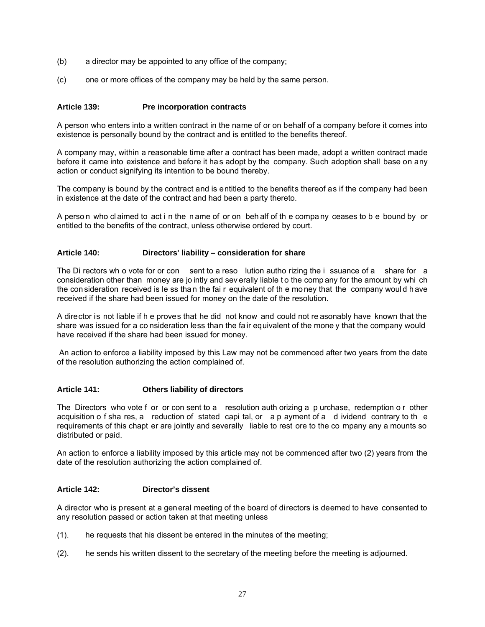- (b) a director may be appointed to any office of the company;
- (c) one or more offices of the company may be held by the same person.

## **Article 139: Pre incorporation contracts**

A person who enters into a written contract in the name of or on behalf of a company before it comes into existence is personally bound by the contract and is entitled to the benefits thereof.

A company may, within a reasonable time after a contract has been made, adopt a written contract made before it came into existence and before it has adopt by the company. Such adoption shall base on any action or conduct signifying its intention to be bound thereby.

The company is bound by the contract and is entitled to the benefits thereof as if the company had been in existence at the date of the contract and had been a party thereto.

A perso n who cl aimed to act i n the n ame of or on beh alf of th e compa ny ceases to b e bound by or entitled to the benefits of the contract, unless otherwise ordered by court.

#### **Article 140: Directors' liability – consideration for share**

The Di rectors wh o vote for or con sent to a reso lution autho rizing the i ssuance of a share for a consideration other than money are jo intly and sev erally liable t o the comp any for the amount by whi ch the con sideration received is le ss tha n the fai r equivalent of th e mo ney that the company woul d h ave received if the share had been issued for money on the date of the resolution.

A director is not liable if h e proves that he did not know and could not re asonably have known that the share was issued for a co nsideration less than the fair equivalent of the mone y that the company would have received if the share had been issued for money.

 An action to enforce a liability imposed by this Law may not be commenced after two years from the date of the resolution authorizing the action complained of.

## **Article 141: Others liability of directors**

The Directors who vote f or or con sent to a resolution auth orizing a p urchase, redemption o r other acquisition o f sha res, a reduction of stated capi tal, or a p ayment of a d ividend contrary to th e requirements of this chapt er are jointly and severally liable to rest ore to the co mpany any a mounts so distributed or paid.

An action to enforce a liability imposed by this article may not be commenced after two (2) years from the date of the resolution authorizing the action complained of.

#### **Article 142: Director's dissent**

A director who is present at a general meeting of the board of directors is deemed to have consented to any resolution passed or action taken at that meeting unless

- (1). he requests that his dissent be entered in the minutes of the meeting;
- (2). he sends his written dissent to the secretary of the meeting before the meeting is adjourned.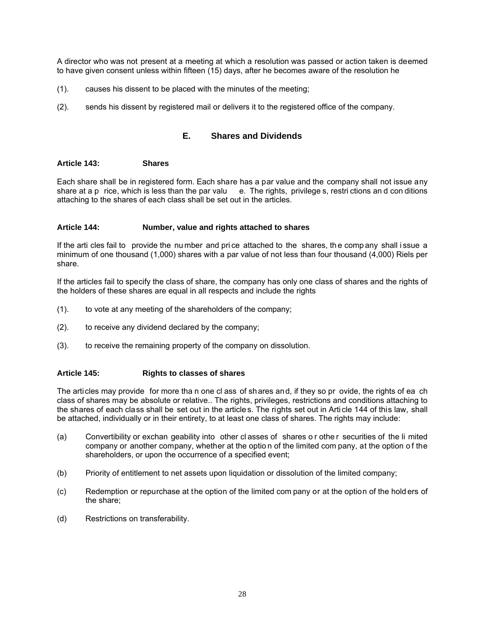A director who was not present at a meeting at which a resolution was passed or action taken is deemed to have given consent unless within fifteen (15) days, after he becomes aware of the resolution he

- (1). causes his dissent to be placed with the minutes of the meeting;
- (2). sends his dissent by registered mail or delivers it to the registered office of the company.

## **E. Shares and Dividends**

#### **Article 143: Shares**

Each share shall be in registered form. Each share has a par value and the company shall not issue any share at a p rice, which is less than the par valu e. The rights, privilege s, restri ctions and con ditions attaching to the shares of each class shall be set out in the articles.

## **Article 144: Number, value and rights attached to shares**

If the arti cles fail to provide the number and price attached to the shares, the comp any shall issue a minimum of one thousand (1,000) shares with a par value of not less than four thousand (4,000) Riels per share.

If the articles fail to specify the class of share, the company has only one class of shares and the rights of the holders of these shares are equal in all respects and include the rights

- (1). to vote at any meeting of the shareholders of the company;
- (2). to receive any dividend declared by the company;
- (3). to receive the remaining property of the company on dissolution.

#### **Article 145: Rights to classes of shares**

The articles may provide for more tha n one cl ass of shares and, if they so pr ovide, the rights of ea ch class of shares may be absolute or relative.. The rights, privileges, restrictions and conditions attaching to the shares of each class shall be set out in the article s. The rights set out in Arti cle 144 of this law, shall be attached, individually or in their entirety, to at least one class of shares. The rights may include:

- (a) Convertibility or exchan geability into other cl asses of shares or othe r securities of the li mited company or another company, whether at the optio n of the limited com pany, at the option o f the shareholders, or upon the occurrence of a specified event;
- (b) Priority of entitlement to net assets upon liquidation or dissolution of the limited company;
- (c) Redemption or repurchase at the option of the limited com pany or at the option of the hold ers of the share;
- (d) Restrictions on transferability.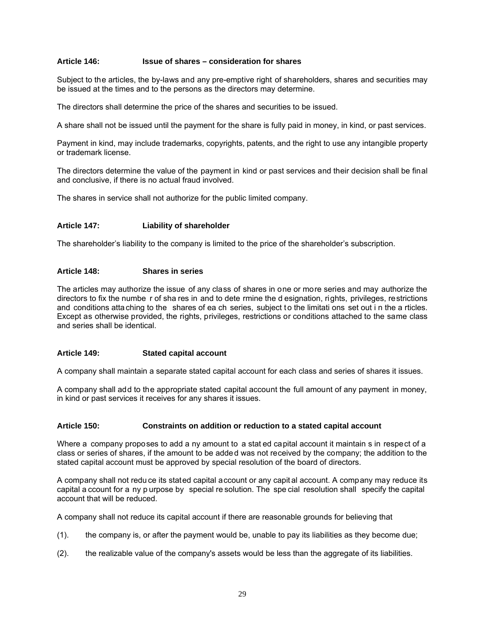#### **Article 146: Issue of shares – consideration for shares**

Subject to the articles, the by-laws and any pre-emptive right of shareholders, shares and securities may be issued at the times and to the persons as the directors may determine.

The directors shall determine the price of the shares and securities to be issued.

A share shall not be issued until the payment for the share is fully paid in money, in kind, or past services.

Payment in kind, may include trademarks, copyrights, patents, and the right to use any intangible property or trademark license.

The directors determine the value of the payment in kind or past services and their decision shall be final and conclusive, if there is no actual fraud involved.

The shares in service shall not authorize for the public limited company.

## **Article 147: Liability of shareholder**

The shareholder's liability to the company is limited to the price of the shareholder's subscription.

## **Article 148: Shares in series**

The articles may authorize the issue of any class of shares in one or more series and may authorize the directors to fix the numbe r of sha res in and to dete rmine the d esignation, rights, privileges, restrictions and conditions atta ching to the shares of ea ch series, subject to the limitati ons set out in the a rticles. Except as otherwise provided, the rights, privileges, restrictions or conditions attached to the same class and series shall be identical.

## **Article 149: Stated capital account**

A company shall maintain a separate stated capital account for each class and series of shares it issues.

A company shall add to the appropriate stated capital account the full amount of any payment in money, in kind or past services it receives for any shares it issues.

#### **Article 150: Constraints on addition or reduction to a stated capital account**

Where a company proposes to add a ny amount to a stat ed capital account it maintain s in respect of a class or series of shares, if the amount to be added was not received by the company; the addition to the stated capital account must be approved by special resolution of the board of directors.

A company shall not redu ce its stated capital account or any capit al account. A company may reduce its capital a ccount for a ny p urpose by special re solution. The spe cial resolution shall specify the capital account that will be reduced.

A company shall not reduce its capital account if there are reasonable grounds for believing that

- (1). the company is, or after the payment would be, unable to pay its liabilities as they become due;
- (2). the realizable value of the company's assets would be less than the aggregate of its liabilities.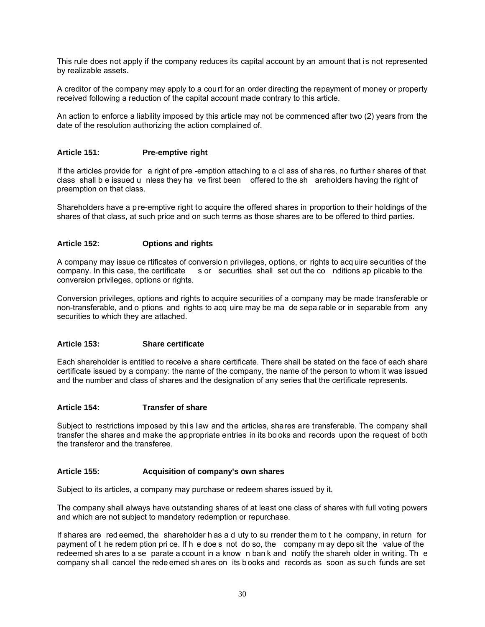This rule does not apply if the company reduces its capital account by an amount that is not represented by realizable assets.

A creditor of the company may apply to a court for an order directing the repayment of money or property received following a reduction of the capital account made contrary to this article.

An action to enforce a liability imposed by this article may not be commenced after two (2) years from the date of the resolution authorizing the action complained of.

## **Article 151: Pre-emptive right**

If the articles provide for a right of pre -emption attaching to a cl ass of sha res, no furthe r shares of that class shall b e issued u nless they ha ve first been offered to the sh areholders having the right of preemption on that class.

Shareholders have a p re-emptive right to acquire the offered shares in proportion to their holdings of the shares of that class, at such price and on such terms as those shares are to be offered to third parties.

## **Article 152: Options and rights**

A company may issue ce rtificates of conversio n privileges, options, or rights to acq uire securities of the company. In this case, the certificate s or securities shall set out the co nditions ap plicable to the conversion privileges, options or rights.

Conversion privileges, options and rights to acquire securities of a company may be made transferable or non-transferable, and o ptions and rights to acq uire may be ma de sepa rable or in separable from any securities to which they are attached.

#### **Article 153: Share certificate**

Each shareholder is entitled to receive a share certificate. There shall be stated on the face of each share certificate issued by a company: the name of the company, the name of the person to whom it was issued and the number and class of shares and the designation of any series that the certificate represents.

#### **Article 154: Transfer of share**

Subject to restrictions imposed by thi s law and the articles, shares are transferable. The company shall transfer the shares and make the appropriate entries in its bo oks and records upon the request of both the transferor and the transferee.

### **Article 155: Acquisition of company's own shares**

Subject to its articles, a company may purchase or redeem shares issued by it.

The company shall always have outstanding shares of at least one class of shares with full voting powers and which are not subject to mandatory redemption or repurchase.

If shares are red eemed, the shareholder h as a d uty to su rrender the m to t he company, in return for payment of t he redem ption pri ce. If h e doe s not do so, the company m ay depo sit the value of the redeemed sh ares to a se parate a ccount in a know n ban k and notify the shareh older in writing. Th e company sh all cancel the rede emed sh ares on its b ooks and records as soon as su ch funds are set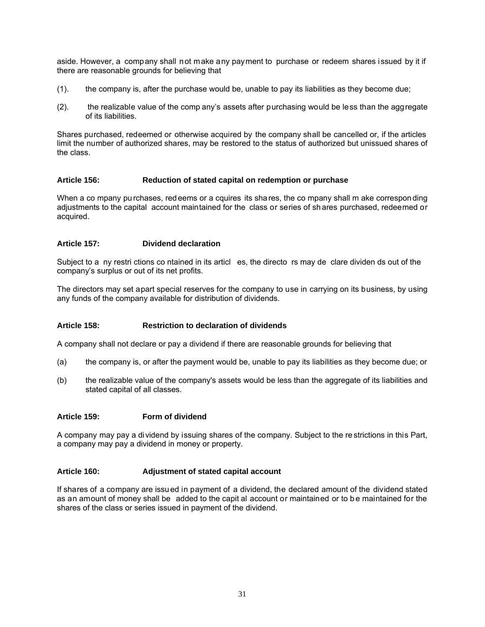aside. However, a company shall not make any payment to purchase or redeem shares issued by it if there are reasonable grounds for believing that

- (1). the company is, after the purchase would be, unable to pay its liabilities as they become due;
- (2). the realizable value of the comp any's assets after purchasing would be less than the aggregate of its liabilities.

Shares purchased, redeemed or otherwise acquired by the company shall be cancelled or, if the articles limit the number of authorized shares, may be restored to the status of authorized but unissued shares of the class.

## **Article 156: Reduction of stated capital on redemption or purchase**

When a co mpany pu rchases, red eems or a cquires its sha res, the co mpany shall m ake correspon ding adjustments to the capital account maintained for the class or series of sh ares purchased, redeemed or acquired.

## **Article 157: Dividend declaration**

Subject to a ny restri ctions co ntained in its articl es, the directo rs may de clare dividen ds out of the company's surplus or out of its net profits.

The directors may set apart special reserves for the company to use in carrying on its business, by using any funds of the company available for distribution of dividends.

## **Article 158: Restriction to declaration of dividends**

A company shall not declare or pay a dividend if there are reasonable grounds for believing that

- (a) the company is, or after the payment would be, unable to pay its liabilities as they become due; or
- (b) the realizable value of the company's assets would be less than the aggregate of its liabilities and stated capital of all classes.

#### **Article 159: Form of dividend**

A company may pay a dividend by issuing shares of the company. Subject to the re strictions in this Part, a company may pay a dividend in money or property.

### **Article 160: Adjustment of stated capital account**

If shares of a company are issued in payment of a dividend, the declared amount of the dividend stated as an amount of money shall be added to the capit al account or maintained or to b e maintained for the shares of the class or series issued in payment of the dividend.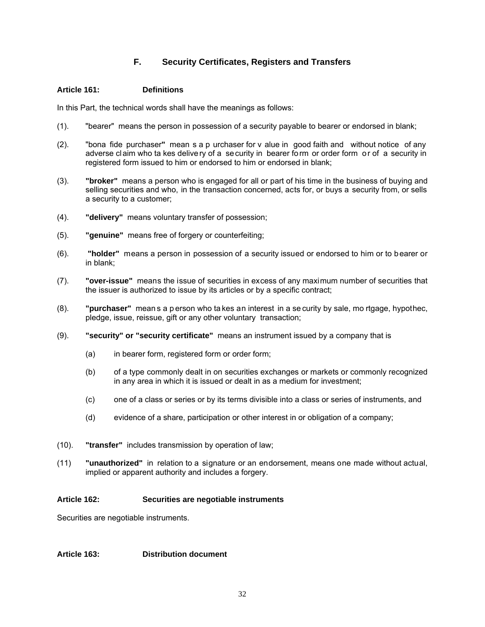## **F. Security Certificates, Registers and Transfers**

## **Article 161: Definitions**

In this Part, the technical words shall have the meanings as follows:

- (1). "bearer" means the person in possession of a security payable to bearer or endorsed in blank;
- (2). "bona fide purchaser**"** mean s a p urchaser for v alue in good faith and without notice of any adverse claim who ta kes delivery of a security in bearer form or order form or of a security in registered form issued to him or endorsed to him or endorsed in blank;
- (3). **"broker"** means a person who is engaged for all or part of his time in the business of buying and selling securities and who, in the transaction concerned, acts for, or buys a security from, or sells a security to a customer;
- (4). **"delivery"** means voluntary transfer of possession;
- (5). **"genuine"** means free of forgery or counterfeiting;
- (6). **"holder"** means a person in possession of a security issued or endorsed to him or to bearer or in blank;
- (7). **"over-issue"** means the issue of securities in excess of any maximum number of securities that the issuer is authorized to issue by its articles or by a specific contract;
- (8). **"purchaser"** mean s a p erson who ta kes an interest in a se curity by sale, mo rtgage, hypothec, pledge, issue, reissue, gift or any other voluntary transaction;
- (9). **"security" or "security certificate"** means an instrument issued by a company that is
	- (a) in bearer form, registered form or order form;
	- (b) of a type commonly dealt in on securities exchanges or markets or commonly recognized in any area in which it is issued or dealt in as a medium for investment;
	- (c) one of a class or series or by its terms divisible into a class or series of instruments, and
	- (d) evidence of a share, participation or other interest in or obligation of a company;
- (10). **"transfer"** includes transmission by operation of law;
- (11) **"unauthorized"** in relation to a signature or an endorsement, means one made without actual, implied or apparent authority and includes a forgery.

#### **Article 162: Securities are negotiable instruments**

Securities are negotiable instruments.

## **Article 163: Distribution document**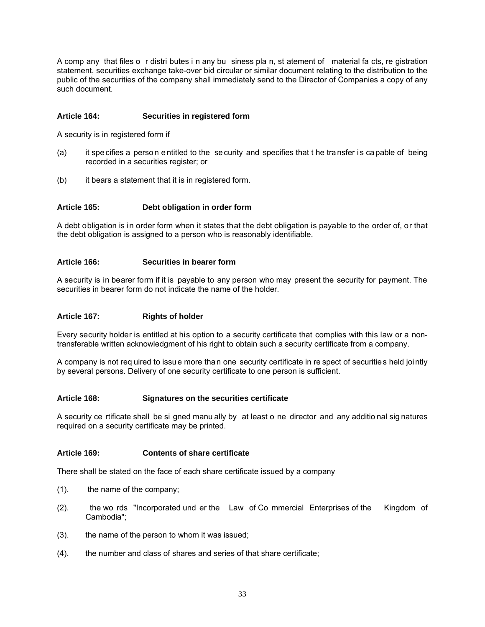A comp any that files o r distri butes i n any bu siness pla n, st atement of material fa cts, re gistration statement, securities exchange take-over bid circular or similar document relating to the distribution to the public of the securities of the company shall immediately send to the Director of Companies a copy of any such document.

## **Article 164: Securities in registered form**

A security is in registered form if

- (a) it spe cifies a perso n e ntitled to the se curity and specifies that t he tra nsfer i s ca pable of being recorded in a securities register; or
- (b) it bears a statement that it is in registered form.

#### **Article 165: Debt obligation in order form**

A debt obligation is in order form when it states that the debt obligation is payable to the order of, or that the debt obligation is assigned to a person who is reasonably identifiable.

#### **Article 166: Securities in bearer form**

A security is in bearer form if it is payable to any person who may present the security for payment. The securities in bearer form do not indicate the name of the holder.

#### **Article 167: Rights of holder**

Every security holder is entitled at his option to a security certificate that complies with this law or a nontransferable written acknowledgment of his right to obtain such a security certificate from a company.

A company is not req uired to issue more than one security certificate in re spect of securities held jointly by several persons. Delivery of one security certificate to one person is sufficient.

#### **Article 168: Signatures on the securities certificate**

A security ce rtificate shall be si gned manu ally by at least o ne director and any additio nal sig natures required on a security certificate may be printed.

## **Article 169: Contents of share certificate**

There shall be stated on the face of each share certificate issued by a company

- (1). the name of the company;
- (2). the wo rds "Incorporated und er the Law of Co mmercial Enterprises of the Kingdom of Cambodia";
- (3). the name of the person to whom it was issued;
- (4). the number and class of shares and series of that share certificate;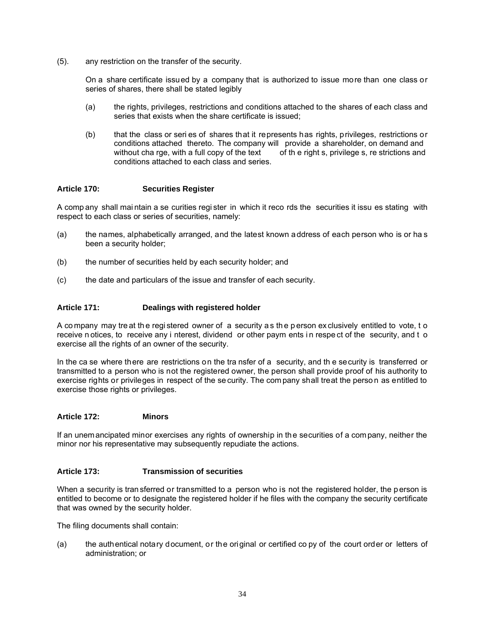(5). any restriction on the transfer of the security.

On a share certificate issued by a company that is authorized to issue more than one class or series of shares, there shall be stated legibly

- (a) the rights, privileges, restrictions and conditions attached to the shares of each class and series that exists when the share certificate is issued;
- (b) that the class or seri es of shares that it represents has rights, privileges, restrictions or conditions attached thereto. The company will provide a shareholder, on demand and without cha rge, with a full copy of the text of the right s, privilege s, re strictions and conditions attached to each class and series.

## **Article 170: Securities Register**

A comp any shall mai ntain a se curities regi ster in which it reco rds the securities it issu es stating with respect to each class or series of securities, namely:

- (a) the names, alphabetically arranged, and the latest known address of each person who is or ha s been a security holder;
- (b) the number of securities held by each security holder; and
- (c) the date and particulars of the issue and transfer of each security.

## **Article 171: Dealings with registered holder**

A co mpany may tre at th e regi stered owner of a security a s th e p erson ex clusively entitled to vote, t o receive n otices, to receive any i nterest, dividend or other paym ents in respect of the security, and t o exercise all the rights of an owner of the security.

In the ca se where there are restrictions on the tra nsfer of a security, and th e security is transferred or transmitted to a person who is not the registered owner, the person shall provide proof of his authority to exercise rights or privileges in respect of the se curity. The com pany shall treat the perso n as entitled to exercise those rights or privileges.

#### **Article 172: Minors**

If an unemancipated minor exercises any rights of ownership in the securities of a company, neither the minor nor his representative may subsequently repudiate the actions.

### **Article 173: Transmission of securities**

When a security is tran sferred or transmitted to a person who is not the registered holder, the person is entitled to become or to designate the registered holder if he files with the company the security certificate that was owned by the security holder.

The filing documents shall contain:

(a) the authentical notary document, or the original or certified co py of the court order or letters of administration; or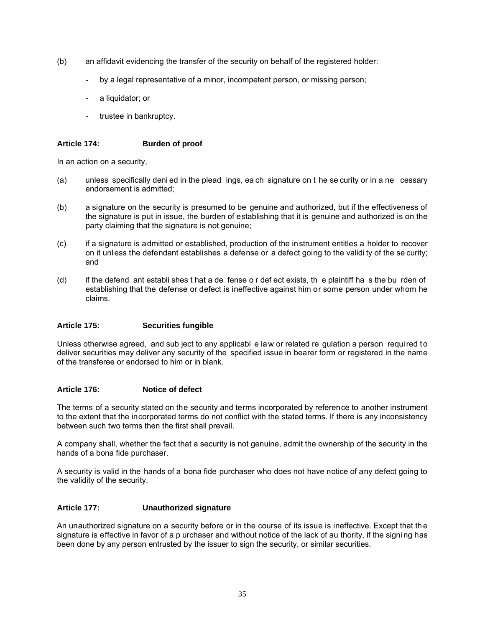- (b) an affidavit evidencing the transfer of the security on behalf of the registered holder:
	- by a legal representative of a minor, incompetent person, or missing person;
	- a liquidator; or
	- trustee in bankruptcy.

## **Article 174: Burden of proof**

In an action on a security,

- (a) unless specifically deni ed in the plead ings, ea ch signature on t he se curity or in a ne cessary endorsement is admitted;
- (b) a signature on the security is presumed to be genuine and authorized, but if the effectiveness of the signature is put in issue, the burden of establishing that it is genuine and authorized is on the party claiming that the signature is not genuine;
- (c) if a signature is admitted or established, production of the instrument entitles a holder to recover on it unless the defendant establishes a defense or a defect going to the validi ty of the se curity; and
- (d) if the defend ant establi shes t hat a de fense o r def ect exists, th e plaintiff ha s the bu rden of establishing that the defense or defect is ineffective against him or some person under whom he claims.

## **Article 175: Securities fungible**

Unless otherwise agreed, and sub ject to any applicabl e law or related re gulation a person required to deliver securities may deliver any security of the specified issue in bearer form or registered in the name of the transferee or endorsed to him or in blank.

## **Article 176: Notice of defect**

The terms of a security stated on the security and terms incorporated by reference to another instrument to the extent that the incorporated terms do not conflict with the stated terms. If there is any inconsistency between such two terms then the first shall prevail.

A company shall, whether the fact that a security is not genuine, admit the ownership of the security in the hands of a bona fide purchaser.

A security is valid in the hands of a bona fide purchaser who does not have notice of any defect going to the validity of the security.

## **Article 177: Unauthorized signature**

An unauthorized signature on a security before or in the course of its issue is ineffective. Except that th e signature is effective in favor of a p urchaser and without notice of the lack of au thority, if the signi ng has been done by any person entrusted by the issuer to sign the security, or similar securities.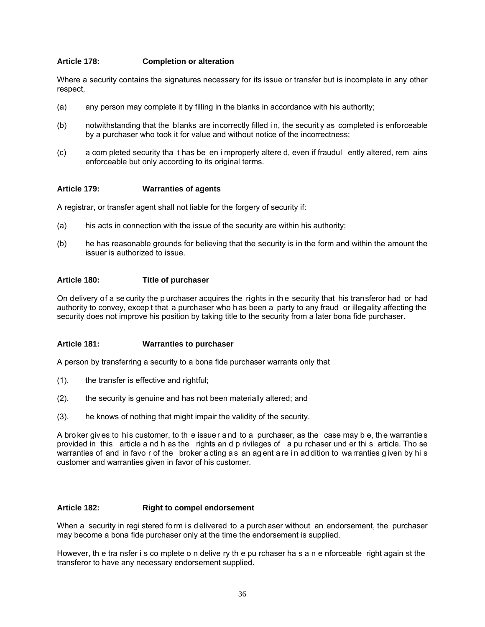## **Article 178: Completion or alteration**

Where a security contains the signatures necessary for its issue or transfer but is incomplete in any other respect,

- (a) any person may complete it by filling in the blanks in accordance with his authority;
- (b) notwithstanding that the blanks are incorrectly filled i n, the securit y as completed is enforceable by a purchaser who took it for value and without notice of the incorrectness;
- (c) a com pleted security tha t has be en i mproperly altere d, even if fraudul ently altered, rem ains enforceable but only according to its original terms.

#### **Article 179: Warranties of agents**

A registrar, or transfer agent shall not liable for the forgery of security if:

- (a) his acts in connection with the issue of the security are within his authority;
- (b) he has reasonable grounds for believing that the security is in the form and within the amount the issuer is authorized to issue.

#### **Article 180: Title of purchaser**

On delivery of a se curity the p urchaser acquires the rights in th e security that his transferor had or had authority to convey, excep t that a purchaser who has been a party to any fraud or illegality affecting the security does not improve his position by taking title to the security from a later bona fide purchaser.

#### **Article 181: Warranties to purchaser**

A person by transferring a security to a bona fide purchaser warrants only that

- (1). the transfer is effective and rightful;
- (2). the security is genuine and has not been materially altered; and
- (3). he knows of nothing that might impair the validity of the security.

A broker gives to his customer, to th e issuer and to a purchaser, as the case may b e, the warranties provided in this article a nd h as the rights an d p rivileges of a pu rchaser und er thi s article. Tho se warranties of and in favo r of the broker a cting a s an ag ent a re in ad dition to wa rranties given by hi s customer and warranties given in favor of his customer.

#### **Article 182: Right to compel endorsement**

When a security in regi stered form is delivered to a purchaser without an endorsement, the purchaser may become a bona fide purchaser only at the time the endorsement is supplied.

However, th e tra nsfer i s co mplete o n delive ry th e pu rchaser ha s a n e nforceable right again st the transferor to have any necessary endorsement supplied.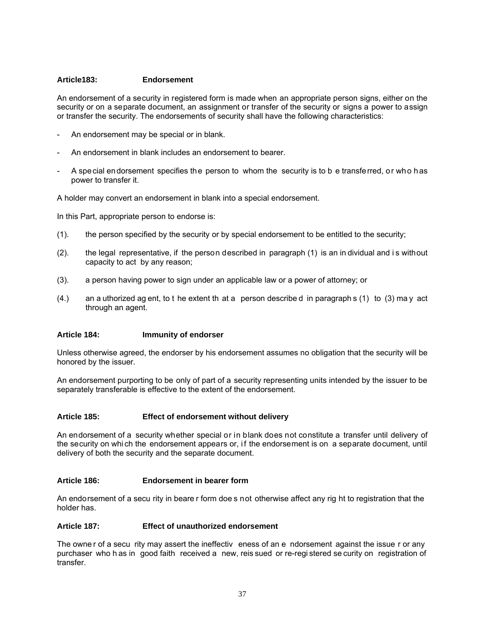#### **Article183: Endorsement**

An endorsement of a security in registered form is made when an appropriate person signs, either on the security or on a separate document, an assignment or transfer of the security or signs a power to assign or transfer the security. The endorsements of security shall have the following characteristics:

- An endorsement may be special or in blank.
- An endorsement in blank includes an endorsement to bearer.
- A special endorsement specifies the person to whom the security is to b e transferred, or who has power to transfer it.

A holder may convert an endorsement in blank into a special endorsement.

In this Part, appropriate person to endorse is:

- (1). the person specified by the security or by special endorsement to be entitled to the security;
- (2). the legal representative, if the person described in paragraph (1) is an in dividual and i s without capacity to act by any reason;
- (3). a person having power to sign under an applicable law or a power of attorney; or
- $(4.)$  an a uthorized ag ent, to t he extent th at a person describe d in paragraph s  $(1)$  to  $(3)$  ma y act through an agent.

## **Article 184: Immunity of endorser**

Unless otherwise agreed, the endorser by his endorsement assumes no obligation that the security will be honored by the issuer.

An endorsement purporting to be only of part of a security representing units intended by the issuer to be separately transferable is effective to the extent of the endorsement.

#### **Article 185: Effect of endorsement without delivery**

An endorsement of a security whether special or in blank does not constitute a transfer until delivery of the security on whi ch the endorsement appears or, if the endorsement is on a separate document, until delivery of both the security and the separate document.

#### **Article 186: Endorsement in bearer form**

An endorsement of a secu rity in beare r form doe s not otherwise affect any rig ht to registration that the holder has.

#### **Article 187: Effect of unauthorized endorsement**

The owner of a secu rity may assert the ineffectiv eness of an e ndorsement against the issue r or any purchaser who h as in good faith received a new, reis sued or re-regi stered se curity on registration of transfer.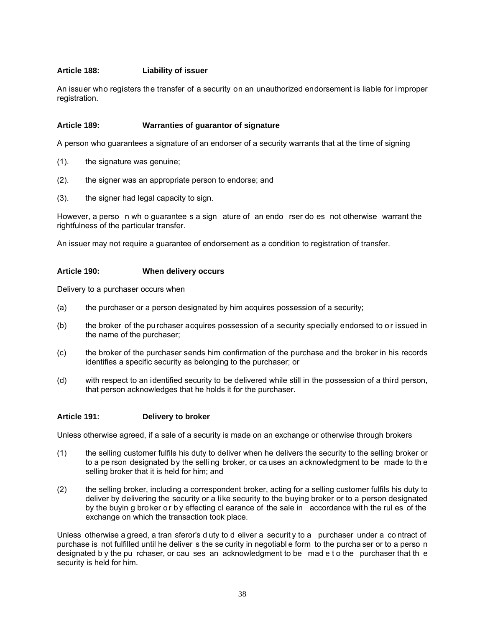## **Article 188: Liability of issuer**

An issuer who registers the transfer of a security on an unauthorized endorsement is liable for i mproper registration.

#### **Article 189: Warranties of guarantor of signature**

A person who guarantees a signature of an endorser of a security warrants that at the time of signing

- (1). the signature was genuine;
- (2). the signer was an appropriate person to endorse; and
- (3). the signer had legal capacity to sign.

However, a perso n wh o guarantee s a sign ature of an endo rser do es not otherwise warrant the rightfulness of the particular transfer.

An issuer may not require a guarantee of endorsement as a condition to registration of transfer.

#### **Article 190: When delivery occurs**

Delivery to a purchaser occurs when

- (a) the purchaser or a person designated by him acquires possession of a security;
- (b) the broker of the purchaser acquires possession of a security specially endorsed to or issued in the name of the purchaser;
- (c) the broker of the purchaser sends him confirmation of the purchase and the broker in his records identifies a specific security as belonging to the purchaser; or
- (d) with respect to an identified security to be delivered while still in the possession of a third person, that person acknowledges that he holds it for the purchaser.

#### **Article 191: Delivery to broker**

Unless otherwise agreed, if a sale of a security is made on an exchange or otherwise through brokers

- (1) the selling customer fulfils his duty to deliver when he delivers the security to the selling broker or to a pe rson designated by the selli ng broker, or ca uses an acknowledgment to be made to th e selling broker that it is held for him; and
- (2) the selling broker, including a correspondent broker, acting for a selling customer fulfils his duty to deliver by delivering the security or a like security to the buying broker or to a person designated by the buyin g bro ker o r b y effecting cl earance of the sale in accordance wit h the rul es of the exchange on which the transaction took place.

Unless otherwise a greed, a tran sferor's d uty to d eliver a security to a purchaser under a contract of purchase is not fulfilled until he deliver s the se curity in negotiabl e form to the purcha ser or to a perso n designated b y the pu rchaser, or cau ses an acknowledgment to be mad e t o the purchaser that the security is held for him.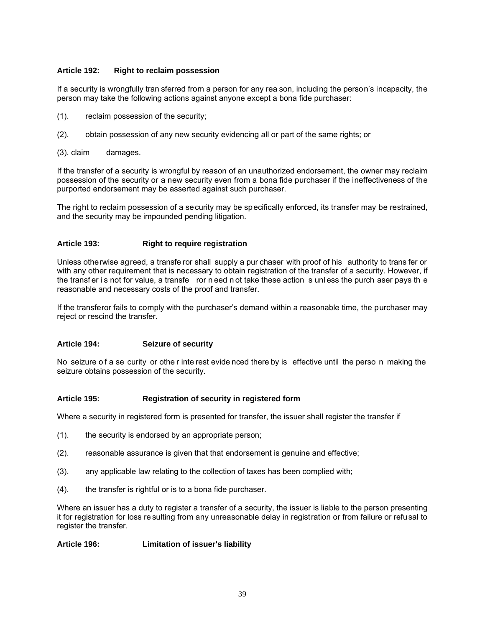## **Article 192: Right to reclaim possession**

If a security is wrongfully tran sferred from a person for any rea son, including the person's incapacity, the person may take the following actions against anyone except a bona fide purchaser:

- (1). reclaim possession of the security;
- (2). obtain possession of any new security evidencing all or part of the same rights; or
- (3). claim damages.

If the transfer of a security is wrongful by reason of an unauthorized endorsement, the owner may reclaim possession of the security or a new security even from a bona fide purchaser if the ineffectiveness of the purported endorsement may be asserted against such purchaser.

The right to reclaim possession of a security may be specifically enforced, its transfer may be restrained, and the security may be impounded pending litigation.

## **Article 193: Right to require registration**

Unless otherwise agreed, a transfe ror shall supply a pur chaser with proof of his authority to trans fer or with any other requirement that is necessary to obtain registration of the transfer of a security. However, if the transfer is not for value, a transfe ror n eed n ot take these action s unless the purch aser pays the reasonable and necessary costs of the proof and transfer.

If the transferor fails to comply with the purchaser's demand within a reasonable time, the purchaser may reject or rescind the transfer.

#### **Article 194: Seizure of security**

No seizure o f a se curity or othe r inte rest evide nced there by is effective until the perso n making the seizure obtains possession of the security.

#### **Article 195: Registration of security in registered form**

Where a security in registered form is presented for transfer, the issuer shall register the transfer if

- (1). the security is endorsed by an appropriate person;
- (2). reasonable assurance is given that that endorsement is genuine and effective;
- (3). any applicable law relating to the collection of taxes has been complied with;
- (4). the transfer is rightful or is to a bona fide purchaser.

Where an issuer has a duty to register a transfer of a security, the issuer is liable to the person presenting it for registration for loss re sulting from any unreasonable delay in registration or from failure or refusal to register the transfer.

## **Article 196: Limitation of issuer's liability**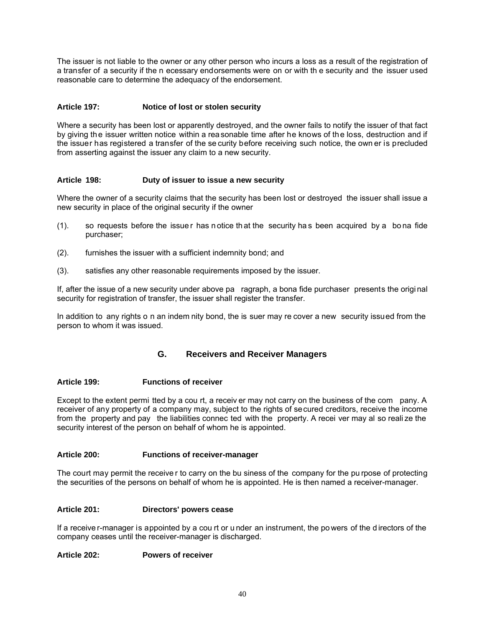The issuer is not liable to the owner or any other person who incurs a loss as a result of the registration of a transfer of a security if the n ecessary endorsements were on or with th e security and the issuer used reasonable care to determine the adequacy of the endorsement.

## **Article 197: Notice of lost or stolen security**

Where a security has been lost or apparently destroyed, and the owner fails to notify the issuer of that fact by giving the issuer written notice within a reasonable time after he knows of the loss, destruction and if the issuer has registered a transfer of the se curity before receiving such notice, the own er is precluded from asserting against the issuer any claim to a new security.

## **Article 198: Duty of issuer to issue a new security**

Where the owner of a security claims that the security has been lost or destroyed the issuer shall issue a new security in place of the original security if the owner

- (1). so requests before the issue r has n otice th at the security ha s been acquired by a bo na fide purchaser;
- (2). furnishes the issuer with a sufficient indemnity bond; and
- (3). satisfies any other reasonable requirements imposed by the issuer.

If, after the issue of a new security under above pa ragraph, a bona fide purchaser presents the origi nal security for registration of transfer, the issuer shall register the transfer.

In addition to any rights o n an indem nity bond, the is suer may re cover a new security issued from the person to whom it was issued.

## **G. Receivers and Receiver Managers**

#### **Article 199: Functions of receiver**

Except to the extent permi tted by a cou rt, a receiv er may not carry on the business of the com pany. A receiver of any property of a company may, subject to the rights of secured creditors, receive the income from the property and pay the liabilities connec ted with the property. A recei ver may al so reali ze the security interest of the person on behalf of whom he is appointed.

## **Article 200: Functions of receiver-manager**

The court may permit the receive r to carry on the bu siness of the company for the pu rpose of protecting the securities of the persons on behalf of whom he is appointed. He is then named a receiver-manager.

#### **Article 201: Directors' powers cease**

If a receive r-manager is appointed by a cou rt or u nder an instrument, the po wers of the d irectors of the company ceases until the receiver-manager is discharged.

#### **Article 202: Powers of receiver**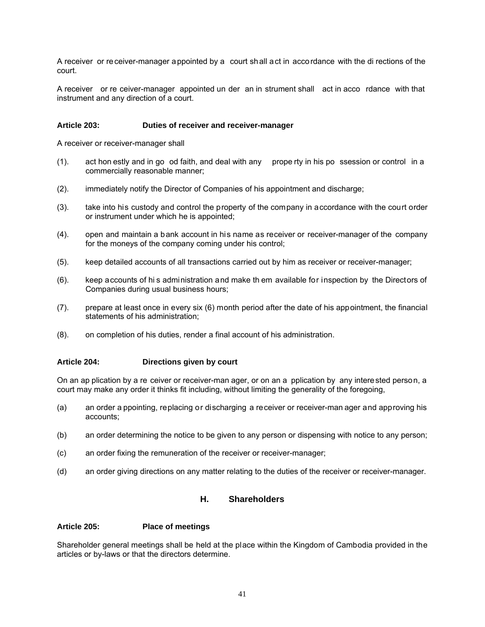A receiver or receiver-manager appointed by a court shall act in accordance with the di rections of the court.

A receiver or re ceiver-manager appointed un der an in strument shall act in acco rdance with that instrument and any direction of a court.

#### **Article 203: Duties of receiver and receiver-manager**

A receiver or receiver-manager shall

- (1). act hon estly and in go od faith, and deal with any prope rty in his po ssession or control in a commercially reasonable manner;
- (2). immediately notify the Director of Companies of his appointment and discharge;
- (3). take into his custody and control the property of the company in accordance with the court order or instrument under which he is appointed;
- (4). open and maintain a bank account in his name as receiver or receiver-manager of the company for the moneys of the company coming under his control;
- (5). keep detailed accounts of all transactions carried out by him as receiver or receiver-manager;
- (6). keep accounts of hi s administration and make th em available for inspection by the Directors of Companies during usual business hours;
- (7). prepare at least once in every six (6) month period after the date of his appointment, the financial statements of his administration;
- (8). on completion of his duties, render a final account of his administration.

#### **Article 204: Directions given by court**

On an ap plication by a re ceiver or receiver-man ager, or on an a pplication by any interested person, a court may make any order it thinks fit including, without limiting the generality of the foregoing,

- (a) an order a ppointing, replacing or discharging a receiver or receiver-man ager and approving his accounts;
- (b) an order determining the notice to be given to any person or dispensing with notice to any person;
- (c) an order fixing the remuneration of the receiver or receiver-manager;
- (d) an order giving directions on any matter relating to the duties of the receiver or receiver-manager.

## **H. Shareholders**

#### **Article 205: Place of meetings**

Shareholder general meetings shall be held at the place within the Kingdom of Cambodia provided in the articles or by-laws or that the directors determine.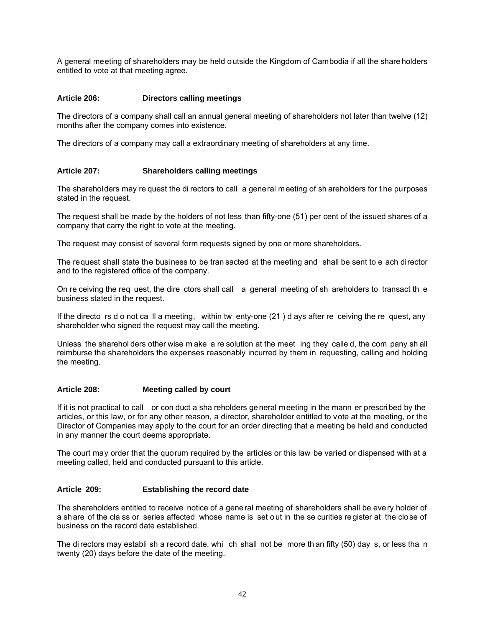A general meeting of shareholders may be held outside the Kingdom of Cambodia if all the share holders entitled to vote at that meeting agree.

## **Article 206: Directors calling meetings**

The directors of a company shall call an annual general meeting of shareholders not later than twelve (12) months after the company comes into existence.

The directors of a company may call a extraordinary meeting of shareholders at any time.

## **Article 207: Shareholders calling meetings**

The shareholders may re quest the di rectors to call a general meeting of sh areholders for t he purposes stated in the request.

The request shall be made by the holders of not less than fifty-one (51) per cent of the issued shares of a company that carry the right to vote at the meeting.

The request may consist of several form requests signed by one or more shareholders.

The request shall state the business to be tran sacted at the meeting and shall be sent to e ach director and to the registered office of the company.

On re ceiving the req uest, the dire ctors shall call a general meeting of sh areholders to transact th e business stated in the request.

If the directo rs d o not ca ll a meeting, within tw enty-one (21 ) d ays after re ceiving the re quest, any shareholder who signed the request may call the meeting.

Unless the sharehol ders other wise m ake a re solution at the meet ing they calle d, the com pany sh all reimburse the shareholders the expenses reasonably incurred by them in requesting, calling and holding the meeting.

#### **Article 208: Meeting called by court**

If it is not practical to call or con duct a sha reholders general meeting in the mann er prescribed by the articles, or this law, or for any other reason, a director, shareholder entitled to vote at the meeting, or the Director of Companies may apply to the court for an order directing that a meeting be held and conducted in any manner the court deems appropriate.

The court may order that the quorum required by the articles or this law be varied or dispensed with at a meeting called, held and conducted pursuant to this article.

#### **Article 209: Establishing the record date**

The shareholders entitled to receive notice of a general meeting of shareholders shall be every holder of a share of the cla ss or series affected whose name is set out in the se curities register at the close of business on the record date established.

The di rectors may establi sh a record date, whi ch shall not be more th an fifty (50) day s, or less tha n twenty (20) days before the date of the meeting.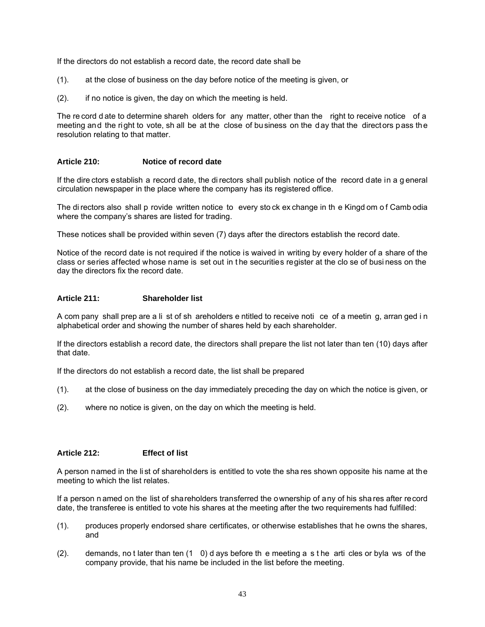If the directors do not establish a record date, the record date shall be

- (1). at the close of business on the day before notice of the meeting is given, or
- (2). if no notice is given, the day on which the meeting is held.

The re cord d ate to determine shareh olders for any matter, other than the right to receive notice of a meeting and the right to vote, sh all be at the close of business on the day that the directors pass the resolution relating to that matter.

## **Article 210: Notice of record date**

If the dire ctors establish a record date, the di rectors shall publish notice of the record date in a g eneral circulation newspaper in the place where the company has its registered office.

The di rectors also shall p rovide written notice to every sto ck ex change in th e Kingd om o f Camb odia where the company's shares are listed for trading.

These notices shall be provided within seven (7) days after the directors establish the record date.

Notice of the record date is not required if the notice is waived in writing by every holder of a share of the class or series affected whose name is set out in the securities register at the clo se of busi ness on the day the directors fix the record date.

#### **Article 211: Shareholder list**

A com pany shall prep are a li st of sh areholders e ntitled to receive noti ce of a meetin g, arran ged i n alphabetical order and showing the number of shares held by each shareholder.

If the directors establish a record date, the directors shall prepare the list not later than ten (10) days after that date.

If the directors do not establish a record date, the list shall be prepared

- (1). at the close of business on the day immediately preceding the day on which the notice is given, or
- (2). where no notice is given, on the day on which the meeting is held.

## **Article 212: Effect of list**

A person named in the li st of shareholders is entitled to vote the sha res shown opposite his name at the meeting to which the list relates.

If a person n amed on the list of shareholders transferred the ownership of any of his sha res after record date, the transferee is entitled to vote his shares at the meeting after the two requirements had fulfilled:

- (1). produces properly endorsed share certificates, or otherwise establishes that he owns the shares, and
- (2). demands, no t later than ten (1 0) d ays before th e meeting a s t he arti cles or byla ws of the company provide, that his name be included in the list before the meeting.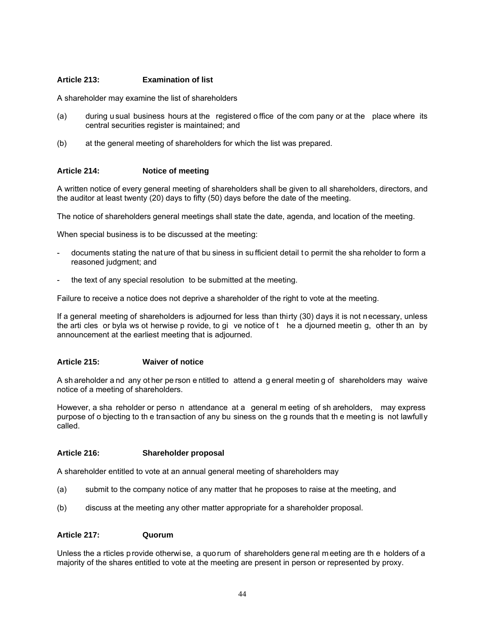## **Article 213: Examination of list**

A shareholder may examine the list of shareholders

- (a) during u sual business hours at the registered o ffice of the com pany or at the place where its central securities register is maintained; and
- (b) at the general meeting of shareholders for which the list was prepared.

## **Article 214: Notice of meeting**

A written notice of every general meeting of shareholders shall be given to all shareholders, directors, and the auditor at least twenty (20) days to fifty (50) days before the date of the meeting.

The notice of shareholders general meetings shall state the date, agenda, and location of the meeting.

When special business is to be discussed at the meeting:

- documents stating the nat ure of that bu siness in su fficient detail to permit the sha reholder to form a reasoned judgment; and
- the text of any special resolution to be submitted at the meeting.

Failure to receive a notice does not deprive a shareholder of the right to vote at the meeting.

If a general meeting of shareholders is adjourned for less than thirty (30) days it is not necessary, unless the arti cles or byla ws ot herwise p rovide, to gi ve notice of t he a djourned meetin g, other th an by announcement at the earliest meeting that is adjourned.

#### **Article 215: Waiver of notice**

A sh areholder a nd any ot her pe rson e ntitled to attend a g eneral meetin g of shareholders may waive notice of a meeting of shareholders.

However, a sha reholder or perso n attendance at a general m eeting of sh areholders, may express purpose of o bjecting to th e transaction of any bu siness on the g rounds that th e meeting is not lawfully called.

#### **Article 216: Shareholder proposal**

A shareholder entitled to vote at an annual general meeting of shareholders may

- (a) submit to the company notice of any matter that he proposes to raise at the meeting, and
- (b) discuss at the meeting any other matter appropriate for a shareholder proposal.

## **Article 217: Quorum**

Unless the a rticles p rovide otherwi se, a quo rum of shareholders gene ral m eeting are th e holders of a majority of the shares entitled to vote at the meeting are present in person or represented by proxy.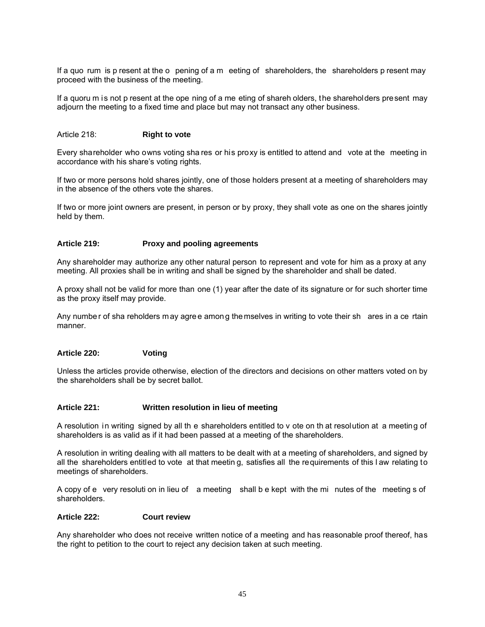If a quo rum is p resent at the o pening of a m eeting of shareholders, the shareholders p resent may proceed with the business of the meeting.

If a quoru m is not p resent at the ope ning of a me eting of shareh olders, the shareholders present may adjourn the meeting to a fixed time and place but may not transact any other business.

#### Article 218: **Right to vote**

Every shareholder who owns voting sha res or his proxy is entitled to attend and vote at the meeting in accordance with his share's voting rights.

If two or more persons hold shares jointly, one of those holders present at a meeting of shareholders may in the absence of the others vote the shares.

If two or more joint owners are present, in person or by proxy, they shall vote as one on the shares jointly held by them.

## **Article 219: Proxy and pooling agreements**

Any shareholder may authorize any other natural person to represent and vote for him as a proxy at any meeting. All proxies shall be in writing and shall be signed by the shareholder and shall be dated.

A proxy shall not be valid for more than one (1) year after the date of its signature or for such shorter time as the proxy itself may provide.

Any number of sha reholders m ay agree among the mselves in writing to vote their shares in a ce rtain manner.

#### **Article 220: Voting**

Unless the articles provide otherwise, election of the directors and decisions on other matters voted on by the shareholders shall be by secret ballot.

#### **Article 221: Written resolution in lieu of meeting**

A resolution in writing signed by all th e shareholders entitled to v ote on th at resolution at a meeting of shareholders is as valid as if it had been passed at a meeting of the shareholders.

A resolution in writing dealing with all matters to be dealt with at a meeting of shareholders, and signed by all the shareholders entitled to vote at that meetin g, satisfies all the requirements of this l aw relating to meetings of shareholders.

A copy of e very resoluti on in lieu of a meeting shall b e kept with the mi nutes of the meeting s of shareholders.

#### **Article 222: Court review**

Any shareholder who does not receive written notice of a meeting and has reasonable proof thereof, has the right to petition to the court to reject any decision taken at such meeting.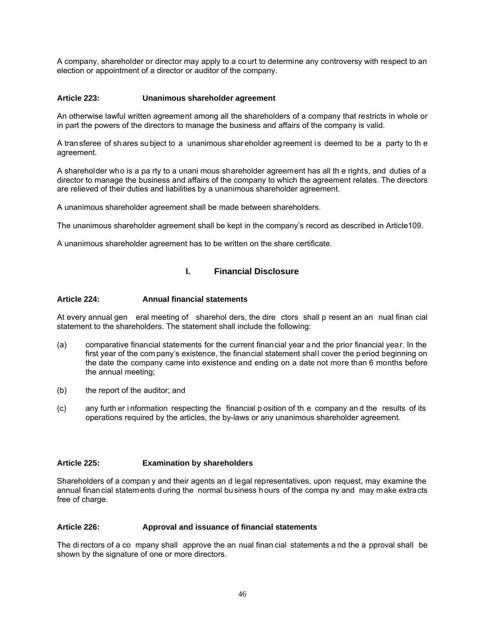A company, shareholder or director may apply to a court to determine any controversy with respect to an election or appointment of a director or auditor of the company.

## **Article 223: Unanimous shareholder agreement**

An otherwise lawful written agreement among all the shareholders of a company that restricts in whole or in part the powers of the directors to manage the business and affairs of the company is valid.

A transferee of shares subject to a unanimous shareholder agreement is deemed to be a party to th e agreement.

A shareholder who is a pa rty to a unani mous shareholder agreement has all th e rights, and duties of a director to manage the business and affairs of the company to which the agreement relates. The directors are relieved of their duties and liabilities by a unanimous shareholder agreement.

A unanimous shareholder agreement shall be made between shareholders.

The unanimous shareholder agreement shall be kept in the company's record as described in Article109.

A unanimous shareholder agreement has to be written on the share certificate.

## **I. Financial Disclosure**

#### **Article 224: Annual financial statements**

At every annual gen eral meeting of sharehol ders, the dire ctors shall p resent an an nual finan cial statement to the shareholders. The statement shall include the following:

- (a) comparative financial statements for the current financial year and the prior financial year. In the first year of the com pany's existence, the financial statement shall cover the period beginning on the date the company came into existence and ending on a date not more than 6 months before the annual meeting;
- (b) the report of the auditor; and
- (c) any furth er i nformation respecting the financial p osition of th e company an d the results of its operations required by the articles, the by-laws or any unanimous shareholder agreement.

#### **Article 225: Examination by shareholders**

Shareholders of a compan y and their agents an d legal representatives, upon request, may examine the annual financial statements during the normal business hours of the compa ny and may make extracts free of charge.

#### **Article 226: Approval and issuance of financial statements**

The di rectors of a co mpany shall approve the an nual finan cial statements a nd the a pproval shall be shown by the signature of one or more directors.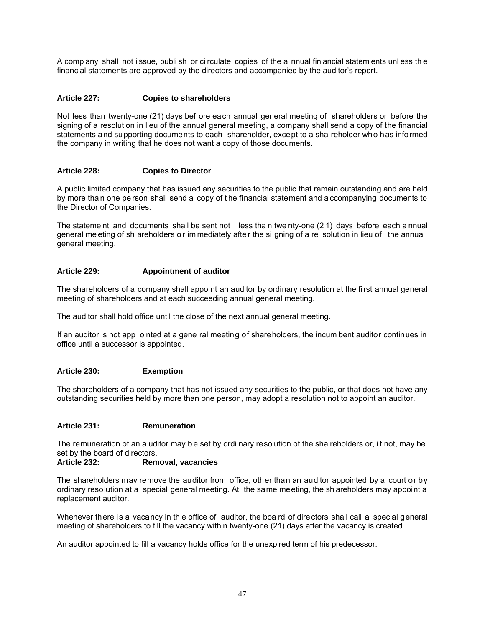A comp any shall not i ssue, publi sh or ci rculate copies of the a nnual fin ancial statem ents unl ess th e financial statements are approved by the directors and accompanied by the auditor's report.

## **Article 227: Copies to shareholders**

Not less than twenty-one (21) days bef ore each annual general meeting of shareholders or before the signing of a resolution in lieu of the annual general meeting, a company shall send a copy of the financial statements and supporting documents to each shareholder, except to a sha reholder who has informed the company in writing that he does not want a copy of those documents.

## **Article 228: Copies to Director**

A public limited company that has issued any securities to the public that remain outstanding and are held by more tha n one pe rson shall send a copy of t he financial statement and a ccompanying documents to the Director of Companies.

The stateme nt and documents shall be sent not less tha n twe nty-one (2 1) days before each a nnual general me eting of sh areholders o r im mediately afte r the si gning of a re solution in lieu of the annual general meeting.

### **Article 229: Appointment of auditor**

The shareholders of a company shall appoint an auditor by ordinary resolution at the first annual general meeting of shareholders and at each succeeding annual general meeting.

The auditor shall hold office until the close of the next annual general meeting.

If an auditor is not app ointed at a gene ral meeting of shareholders, the incum bent auditor continues in office until a successor is appointed.

#### **Article 230: Exemption**

The shareholders of a company that has not issued any securities to the public, or that does not have any outstanding securities held by more than one person, may adopt a resolution not to appoint an auditor.

## **Article 231: Remuneration**

The remuneration of an a uditor may b e set by ordi nary resolution of the sha reholders or, i f not, may be set by the board of directors.<br>Article 232: Rem

## **Removal, vacancies**

The shareholders may remove the auditor from office, other than an auditor appointed by a court or by ordinary resolution at a special general meeting. At the same meeting, the sh areholders may appoint a replacement auditor.

Whenever there is a vacancy in the office of auditor, the boa rd of directors shall call a special general meeting of shareholders to fill the vacancy within twenty-one (21) days after the vacancy is created.

An auditor appointed to fill a vacancy holds office for the unexpired term of his predecessor.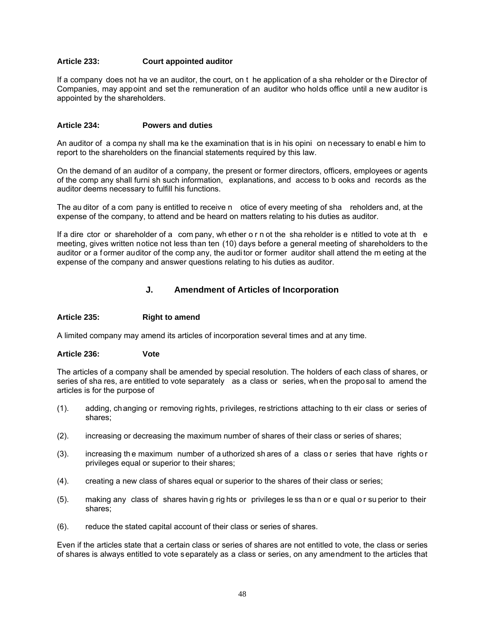## **Article 233: Court appointed auditor**

If a company does not ha ve an auditor, the court, on t he application of a sha reholder or th e Director of Companies, may appoint and set the remuneration of an auditor who holds office until a new auditor is appointed by the shareholders.

#### **Article 234: Powers and duties**

An auditor of a compa ny shall ma ke the examination that is in his opini on necessary to enabl e him to report to the shareholders on the financial statements required by this law.

On the demand of an auditor of a company, the present or former directors, officers, employees or agents of the comp any shall furni sh such information, explanations, and access to b ooks and records as the auditor deems necessary to fulfill his functions.

The au ditor of a com pany is entitled to receive n otice of every meeting of sha reholders and, at the expense of the company, to attend and be heard on matters relating to his duties as auditor.

If a dire ctor or shareholder of a com pany, wh ether o r n ot the sha reholder is e ntitled to vote at the meeting, gives written notice not less than ten (10) days before a general meeting of shareholders to the auditor or a f ormer auditor of the comp any, the audi tor or former auditor shall attend the m eeting at the expense of the company and answer questions relating to his duties as auditor.

## **J. Amendment of Articles of Incorporation**

#### **Article 235: Right to amend**

A limited company may amend its articles of incorporation several times and at any time.

#### **Article 236: Vote**

The articles of a company shall be amended by special resolution. The holders of each class of shares, or series of sha res, are entitled to vote separately as a class or series, when the proposal to amend the articles is for the purpose of

- (1). adding, changing or removing rights, privileges, restrictions attaching to th eir class or series of shares;
- (2). increasing or decreasing the maximum number of shares of their class or series of shares;
- (3). increasing the maximum number of authorized shares of a class or series that have rights or privileges equal or superior to their shares;
- (4). creating a new class of shares equal or superior to the shares of their class or series;
- (5). making any class of shares havin g rig hts or privileges le ss tha n or e qual o r su perior to their shares;
- (6). reduce the stated capital account of their class or series of shares.

Even if the articles state that a certain class or series of shares are not entitled to vote, the class or series of shares is always entitled to vote separately as a class or series, on any amendment to the articles that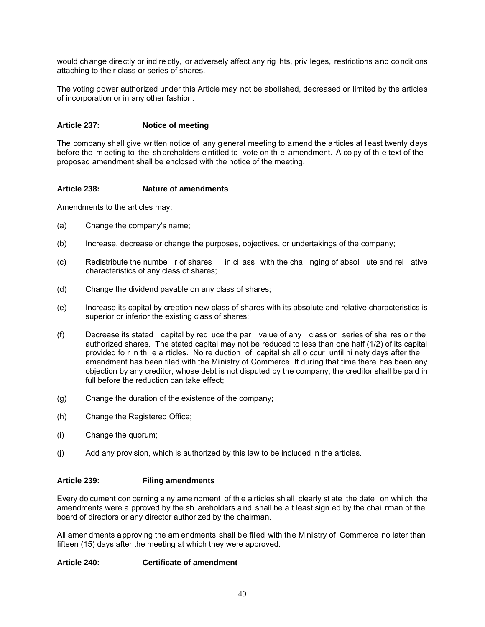would change directly or indire ctly, or adversely affect any rig hts, privileges, restrictions and conditions attaching to their class or series of shares.

The voting power authorized under this Article may not be abolished, decreased or limited by the articles of incorporation or in any other fashion.

## **Article 237: Notice of meeting**

The company shall give written notice of any general meeting to amend the articles at least twenty days before the m eeting to the sh areholders e ntitled to vote on th e amendment. A co py of th e text of the proposed amendment shall be enclosed with the notice of the meeting.

## **Article 238: Nature of amendments**

Amendments to the articles may:

- (a) Change the company's name;
- (b) Increase, decrease or change the purposes, objectives, or undertakings of the company;
- (c) Redistribute the numbe r of shares in cl ass with the cha nging of absol ute and rel ative characteristics of any class of shares;
- (d) Change the dividend payable on any class of shares;
- (e) Increase its capital by creation new class of shares with its absolute and relative characteristics is superior or inferior the existing class of shares;
- (f) Decrease its stated capital by red uce the par value of any class or series of sha res o r the authorized shares. The stated capital may not be reduced to less than one half (1/2) of its capital provided fo r in th e a rticles. No re duction of capital sh all o ccur until ni nety days after the amendment has been filed with the Ministry of Commerce. If during that time there has been any objection by any creditor, whose debt is not disputed by the company, the creditor shall be paid in full before the reduction can take effect;
- (g) Change the duration of the existence of the company;
- (h) Change the Registered Office;
- (i) Change the quorum;
- (j) Add any provision, which is authorized by this law to be included in the articles.

#### **Article 239: Filing amendments**

Every do cument con cerning a ny ame ndment of th e a rticles sh all clearly st ate the date on whi ch the amendments were a pproved by the sh areholders a nd shall be a t least sign ed by the chai rman of the board of directors or any director authorized by the chairman.

All amendments approving the am endments shall be filed with the Ministry of Commerce no later than fifteen (15) days after the meeting at which they were approved.

#### **Article 240: Certificate of amendment**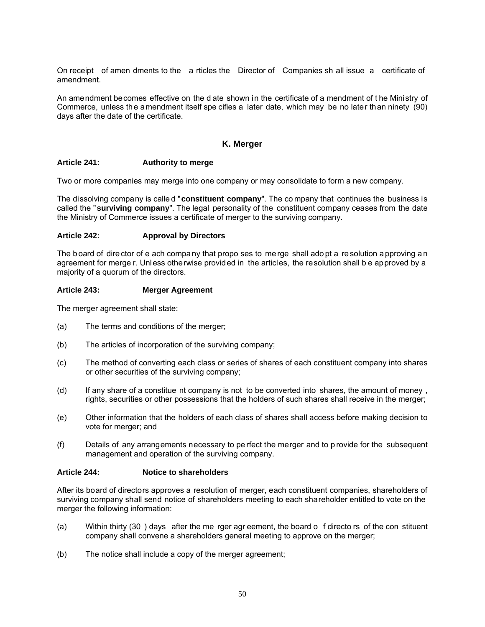On receipt of amen dments to the a rticles the Director of Companies sh all issue a certificate of amendment.

An amendment becomes effective on the d ate shown in the certificate of a mendment of t he Ministry of Commerce, unless the amendment itself spe cifies a later date, which may be no later than ninety (90) days after the date of the certificate.

## **K. Merger**

#### **Article 241: Authority to merge**

Two or more companies may merge into one company or may consolidate to form a new company.

The dissolving company is calle d "**constituent company**". The co mpany that continues the business is called the "**surviving company**". The legal personality of the constituent company ceases from the date the Ministry of Commerce issues a certificate of merger to the surviving company.

#### **Article 242: Approval by Directors**

The b oard of dire ctor of e ach company that propo ses to me rge shall ado pt a resolution a pproving an agreement for merge r. Unless otherwise provided in the articles, the resolution shall b e approved by a majority of a quorum of the directors.

#### **Article 243: Merger Agreement**

The merger agreement shall state:

- (a) The terms and conditions of the merger;
- (b) The articles of incorporation of the surviving company;
- (c) The method of converting each class or series of shares of each constituent company into shares or other securities of the surviving company;
- (d) If any share of a constitue nt company is not to be converted into shares, the amount of money , rights, securities or other possessions that the holders of such shares shall receive in the merger;
- (e) Other information that the holders of each class of shares shall access before making decision to vote for merger; and
- (f) Details of any arrangements necessary to pe rfect the merger and to p rovide for the subsequent management and operation of the surviving company.

#### **Article 244: Notice to shareholders**

After its board of directors approves a resolution of merger, each constituent companies, shareholders of surviving company shall send notice of shareholders meeting to each shareholder entitled to vote on the merger the following information:

- (a) Within thirty (30 ) days after the me rger agr eement, the board o f directo rs of the con stituent company shall convene a shareholders general meeting to approve on the merger;
- (b) The notice shall include a copy of the merger agreement;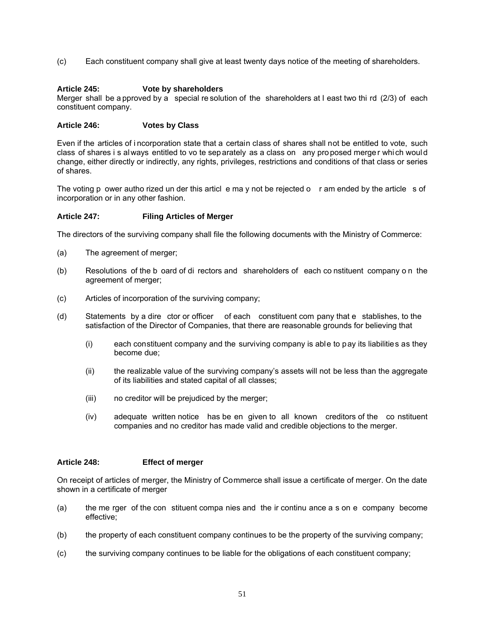(c) Each constituent company shall give at least twenty days notice of the meeting of shareholders.

## **Article 245: Vote by shareholders**

Merger shall be a pproved by a special re solution of the shareholders at l east two thi rd (2/3) of each constituent company.

## **Article 246: Votes by Class**

Even if the articles of i ncorporation state that a certain class of shares shall not be entitled to vote, such class of shares i s al ways entitled to vo te sep arately as a class on any proposed merger which would change, either directly or indirectly, any rights, privileges, restrictions and conditions of that class or series of shares.

The voting p ower autho rized un der this articl e ma y not be rejected o r am ended by the article s of incorporation or in any other fashion.

## **Article 247: Filing Articles of Merger**

The directors of the surviving company shall file the following documents with the Ministry of Commerce:

- (a) The agreement of merger;
- (b) Resolutions of the b oard of di rectors and shareholders of each co nstituent company o n the agreement of merger;
- (c) Articles of incorporation of the surviving company;
- (d) Statements by a dire ctor or officer of each constituent com pany that e stablishes, to the satisfaction of the Director of Companies, that there are reasonable grounds for believing that
	- (i) each constituent company and the surviving company is able to pay its liabilities as they become due;
	- (ii) the realizable value of the surviving company's assets will not be less than the aggregate of its liabilities and stated capital of all classes;
	- (iii) no creditor will be prejudiced by the merger;
	- (iv) adequate written notice has be en given to all known creditors of the co nstituent companies and no creditor has made valid and credible objections to the merger.

#### **Article 248: Effect of merger**

On receipt of articles of merger, the Ministry of Commerce shall issue a certificate of merger. On the date shown in a certificate of merger

- (a) the me rger of the con stituent compa nies and the ir continu ance a s on e company become effective;
- (b) the property of each constituent company continues to be the property of the surviving company;
- (c) the surviving company continues to be liable for the obligations of each constituent company;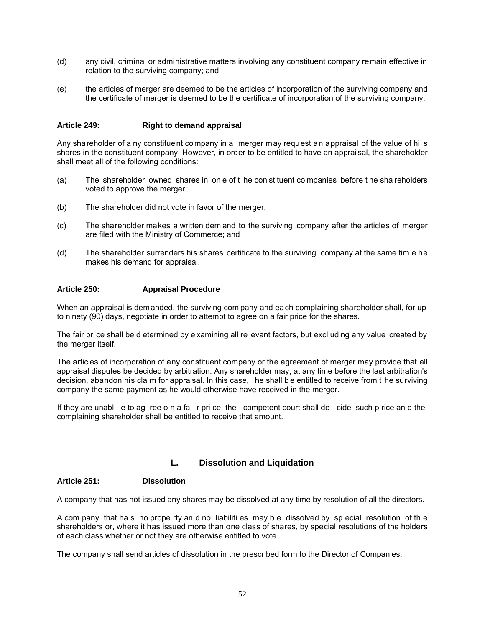- (d) any civil, criminal or administrative matters involving any constituent company remain effective in relation to the surviving company; and
- (e) the articles of merger are deemed to be the articles of incorporation of the surviving company and the certificate of merger is deemed to be the certificate of incorporation of the surviving company.

## **Article 249: Right to demand appraisal**

Any shareholder of a ny constituent company in a merger may request an appraisal of the value of hi s shares in the constituent company. However, in order to be entitled to have an apprai sal, the shareholder shall meet all of the following conditions:

- (a) The shareholder owned shares in on e of t he con stituent co mpanies before t he sha reholders voted to approve the merger;
- (b) The shareholder did not vote in favor of the merger;
- (c) The shareholder makes a written dem and to the surviving company after the articles of merger are filed with the Ministry of Commerce; and
- (d) The shareholder surrenders his shares certificate to the surviving company at the same tim e he makes his demand for appraisal.

## **Article 250: Appraisal Procedure**

When an appraisal is demanded, the surviving com pany and each complaining shareholder shall, for up to ninety (90) days, negotiate in order to attempt to agree on a fair price for the shares.

The fair pri ce shall be d etermined by e xamining all re levant factors, but excl uding any value created by the merger itself.

The articles of incorporation of any constituent company or the agreement of merger may provide that all appraisal disputes be decided by arbitration. Any shareholder may, at any time before the last arbitration's decision, abandon his claim for appraisal. In this case, he shall be entitled to receive from t he surviving company the same payment as he would otherwise have received in the merger.

If they are unabl e to ag ree o n a fai r pri ce, the competent court shall de cide such p rice an d the complaining shareholder shall be entitled to receive that amount.

## **L. Dissolution and Liquidation**

#### **Article 251: Dissolution**

A company that has not issued any shares may be dissolved at any time by resolution of all the directors.

A com pany that ha s no prope rty an d no liabiliti es may b e dissolved by sp ecial resolution of th e shareholders or, where it has issued more than one class of shares, by special resolutions of the holders of each class whether or not they are otherwise entitled to vote.

The company shall send articles of dissolution in the prescribed form to the Director of Companies.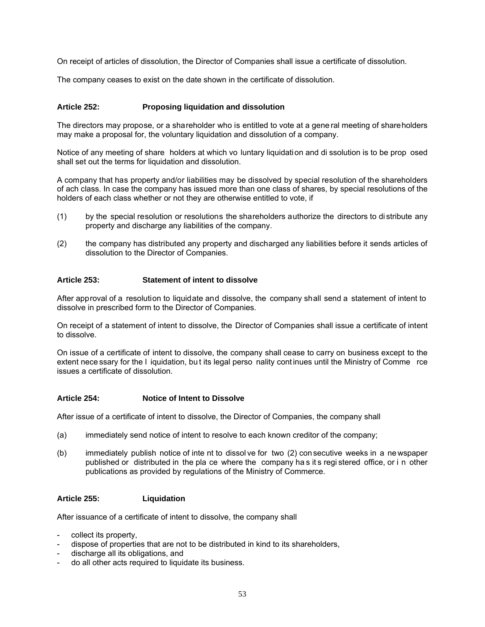On receipt of articles of dissolution, the Director of Companies shall issue a certificate of dissolution.

The company ceases to exist on the date shown in the certificate of dissolution.

## **Article 252: Proposing liquidation and dissolution**

The directors may propose, or a shareholder who is entitled to vote at a gene ral meeting of shareholders may make a proposal for, the voluntary liquidation and dissolution of a company.

Notice of any meeting of share holders at which vo luntary liquidation and di ssolution is to be prop osed shall set out the terms for liquidation and dissolution.

A company that has property and/or liabilities may be dissolved by special resolution of the shareholders of ach class. In case the company has issued more than one class of shares, by special resolutions of the holders of each class whether or not they are otherwise entitled to vote, if

- (1) by the special resolution or resolutions the shareholders authorize the directors to di stribute any property and discharge any liabilities of the company.
- (2) the company has distributed any property and discharged any liabilities before it sends articles of dissolution to the Director of Companies.

## **Article 253: Statement of intent to dissolve**

After approval of a resolution to liquidate and dissolve, the company shall send a statement of intent to dissolve in prescribed form to the Director of Companies.

On receipt of a statement of intent to dissolve, the Director of Companies shall issue a certificate of intent to dissolve.

On issue of a certificate of intent to dissolve, the company shall cease to carry on business except to the extent nece ssary for the I iquidation, but its legal perso nality continues until the Ministry of Comme rce issues a certificate of dissolution.

#### **Article 254: Notice of Intent to Dissolve**

After issue of a certificate of intent to dissolve, the Director of Companies, the company shall

- (a) immediately send notice of intent to resolve to each known creditor of the company;
- (b) immediately publish notice of inte nt to dissol ve for two (2) con secutive weeks in a ne wspaper published or distributed in the pla ce where the company ha s it s regi stered office, or i n other publications as provided by regulations of the Ministry of Commerce.

#### **Article 255: Liquidation**

After issuance of a certificate of intent to dissolve, the company shall

- collect its property.
- dispose of properties that are not to be distributed in kind to its shareholders,
- discharge all its obligations, and
- do all other acts required to liquidate its business.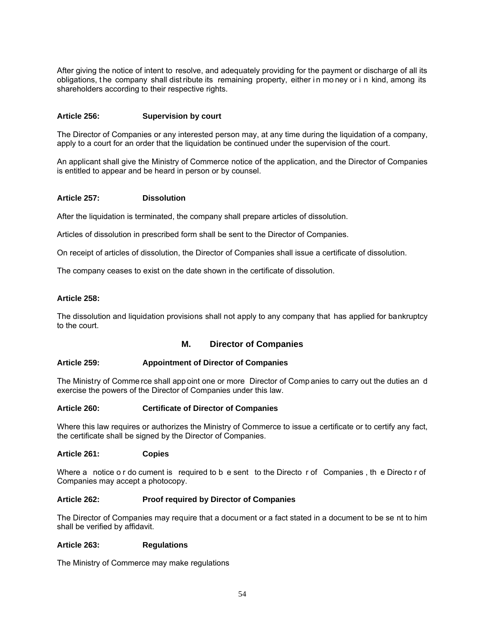After giving the notice of intent to resolve, and adequately providing for the payment or discharge of all its obligations, t he company shall dist ribute its remaining property, either i n mo ney or i n kind, among its shareholders according to their respective rights.

## **Article 256: Supervision by court**

The Director of Companies or any interested person may, at any time during the liquidation of a company, apply to a court for an order that the liquidation be continued under the supervision of the court.

An applicant shall give the Ministry of Commerce notice of the application, and the Director of Companies is entitled to appear and be heard in person or by counsel.

#### **Article 257: Dissolution**

After the liquidation is terminated, the company shall prepare articles of dissolution.

Articles of dissolution in prescribed form shall be sent to the Director of Companies.

On receipt of articles of dissolution, the Director of Companies shall issue a certificate of dissolution.

The company ceases to exist on the date shown in the certificate of dissolution.

#### **Article 258:**

The dissolution and liquidation provisions shall not apply to any company that has applied for bankruptcy to the court.

#### **M. Director of Companies**

#### **Article 259: Appointment of Director of Companies**

The Ministry of Comme rce shall app oint one or more Director of Comp anies to carry out the duties an d exercise the powers of the Director of Companies under this law.

#### **Article 260: Certificate of Director of Companies**

Where this law requires or authorizes the Ministry of Commerce to issue a certificate or to certify any fact, the certificate shall be signed by the Director of Companies.

#### **Article 261: Copies**

Where a notice o r do cument is required to b e sent to the Directo r of Companies , th e Directo r of Companies may accept a photocopy.

#### **Article 262: Proof required by Director of Companies**

The Director of Companies may require that a document or a fact stated in a document to be se nt to him shall be verified by affidavit.

#### **Article 263: Regulations**

The Ministry of Commerce may make regulations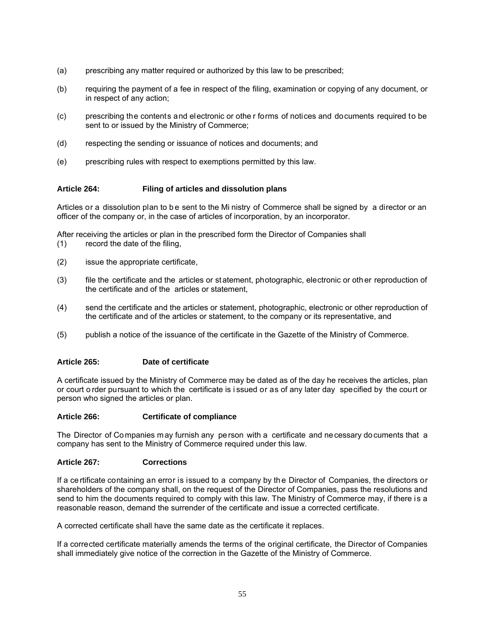- (a) prescribing any matter required or authorized by this law to be prescribed;
- (b) requiring the payment of a fee in respect of the filing, examination or copying of any document, or in respect of any action;
- (c) prescribing the contents and electronic or othe r forms of notices and documents required to be sent to or issued by the Ministry of Commerce;
- (d) respecting the sending or issuance of notices and documents; and
- (e) prescribing rules with respect to exemptions permitted by this law.

## **Article 264: Filing of articles and dissolution plans**

Articles or a dissolution plan to be sent to the Mi nistry of Commerce shall be signed by a director or an officer of the company or, in the case of articles of incorporation, by an incorporator.

After receiving the articles or plan in the prescribed form the Director of Companies shall (1) record the date of the filing,

- (2) issue the appropriate certificate,
- (3) file the certificate and the articles or st atement, photographic, electronic or oth er reproduction of the certificate and of the articles or statement,
- (4) send the certificate and the articles or statement, photographic, electronic or other reproduction of the certificate and of the articles or statement, to the company or its representative, and
- (5) publish a notice of the issuance of the certificate in the Gazette of the Ministry of Commerce.

#### **Article 265: Date of certificate**

A certificate issued by the Ministry of Commerce may be dated as of the day he receives the articles, plan or court o rder pursuant to which the certificate is i ssued or as of any later day specified by the court or person who signed the articles or plan.

#### **Article 266: Certificate of compliance**

The Director of Companies may furnish any person with a certificate and necessary documents that a company has sent to the Ministry of Commerce required under this law.

#### **Article 267: Corrections**

If a ce rtificate containing an error is issued to a company by th e Director of Companies, the directors or shareholders of the company shall, on the request of the Director of Companies, pass the resolutions and send to him the documents required to comply with this law. The Ministry of Commerce may, if there is a reasonable reason, demand the surrender of the certificate and issue a corrected certificate.

A corrected certificate shall have the same date as the certificate it replaces.

If a corrected certificate materially amends the terms of the original certificate, the Director of Companies shall immediately give notice of the correction in the Gazette of the Ministry of Commerce.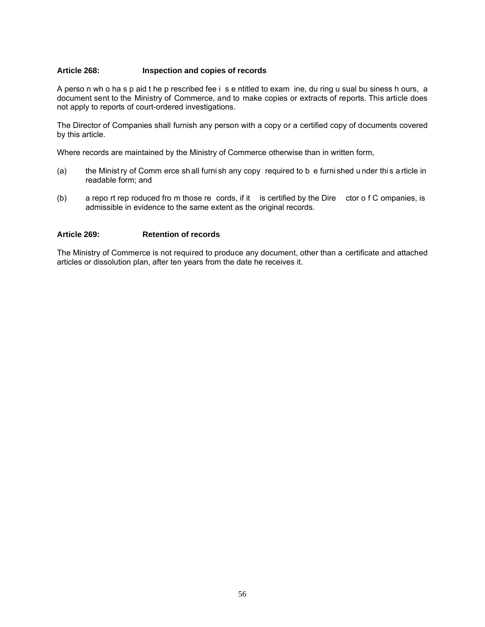## **Article 268: Inspection and copies of records**

A perso n wh o ha s p aid t he p rescribed fee i s e ntitled to exam ine, du ring u sual bu siness h ours, a document sent to the Ministry of Commerce, and to make copies or extracts of reports. This article does not apply to reports of court-ordered investigations.

The Director of Companies shall furnish any person with a copy or a certified copy of documents covered by this article.

Where records are maintained by the Ministry of Commerce otherwise than in written form,

- (a) the Minist ry of Comm erce sh all furni sh any copy required to b e furni shed u nder thi s a rticle in readable form; and
- (b) a repo rt rep roduced fro m those re cords, if it is certified by the Dire ctor o f C ompanies, is admissible in evidence to the same extent as the original records.

#### **Article 269: Retention of records**

The Ministry of Commerce is not required to produce any document, other than a certificate and attached articles or dissolution plan, after ten years from the date he receives it.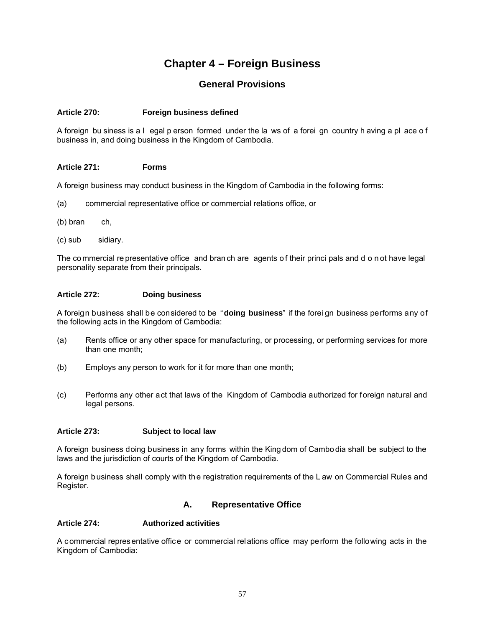## **Chapter 4 – Foreign Business**

## **General Provisions**

## **Article 270: Foreign business defined**

A foreign bu siness is a l egal p erson formed under the la ws of a forei gn country h aving a pl ace of business in, and doing business in the Kingdom of Cambodia.

## **Article 271: Forms**

A foreign business may conduct business in the Kingdom of Cambodia in the following forms:

- (a) commercial representative office or commercial relations office, or
- (b) bran ch,
- (c) sub sidiary.

The co mmercial re presentative office and bran ch are agents of their princi pals and d o n ot have legal personality separate from their principals.

## **Article 272: Doing business**

A foreign business shall be considered to be "**doing business**" if the forei gn business performs any of the following acts in the Kingdom of Cambodia:

- (a) Rents office or any other space for manufacturing, or processing, or performing services for more than one month;
- (b) Employs any person to work for it for more than one month;
- (c) Performs any other act that laws of the Kingdom of Cambodia authorized for foreign natural and legal persons.

#### **Article 273: Subject to local law**

A foreign business doing business in any forms within the King dom of Cambo dia shall be subject to the laws and the jurisdiction of courts of the Kingdom of Cambodia.

A foreign business shall comply with the registration requirements of the L aw on Commercial Rules and Register.

## **A. Representative Office**

## **Article 274: Authorized activities**

A commercial representative office or commercial relations office may perform the following acts in the Kingdom of Cambodia: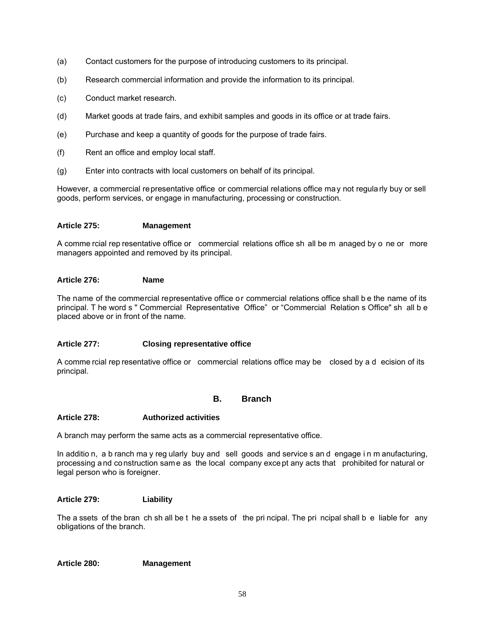- (a) Contact customers for the purpose of introducing customers to its principal.
- (b) Research commercial information and provide the information to its principal.
- (c) Conduct market research.
- (d) Market goods at trade fairs, and exhibit samples and goods in its office or at trade fairs.
- (e) Purchase and keep a quantity of goods for the purpose of trade fairs.
- (f) Rent an office and employ local staff.
- (g) Enter into contracts with local customers on behalf of its principal.

However, a commercial representative office or commercial relations office may not regularly buy or sell goods, perform services, or engage in manufacturing, processing or construction.

## **Article 275: Management**

A comme rcial rep resentative office or commercial relations office sh all be m anaged by o ne or more managers appointed and removed by its principal.

## **Article 276: Name**

The name of the commercial representative office or commercial relations office shall b e the name of its principal. T he word s " Commercial Representative Office" or "Commercial Relation s Office" sh all b e placed above or in front of the name.

## **Article 277: Closing representative office**

A comme rcial rep resentative office or commercial relations office may be closed by a d ecision of its principal.

## **B. Branch**

#### **Article 278: Authorized activities**

A branch may perform the same acts as a commercial representative office.

In additio n, a b ranch ma y reg ularly buy and sell goods and service s an d engage i n m anufacturing, processing and construction same as the local company except any acts that prohibited for natural or legal person who is foreigner.

#### **Article 279: Liability**

The a ssets of the bran ch sh all be t he a ssets of the pri ncipal. The pri ncipal shall b e liable for any obligations of the branch.

#### **Article 280: Management**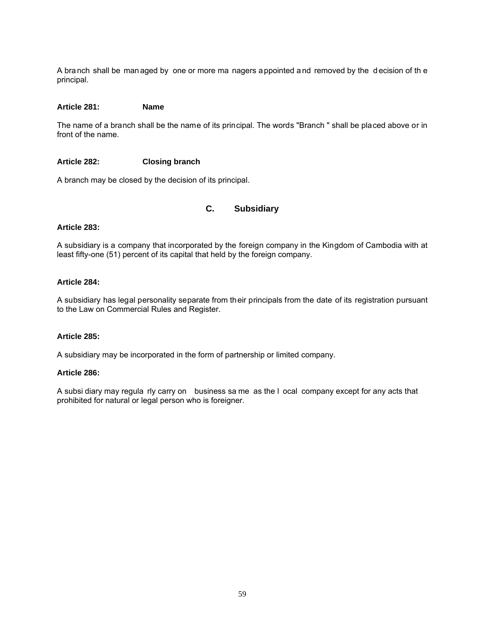A branch shall be managed by one or more ma nagers appointed and removed by the decision of th e principal.

#### **Article 281: Name**

The name of a branch shall be the name of its principal. The words "Branch " shall be placed above or in front of the name.

#### **Article 282: Closing branch**

A branch may be closed by the decision of its principal.

## **C. Subsidiary**

#### **Article 283:**

A subsidiary is a company that incorporated by the foreign company in the Kingdom of Cambodia with at least fifty-one (51) percent of its capital that held by the foreign company.

#### **Article 284:**

A subsidiary has legal personality separate from their principals from the date of its registration pursuant to the Law on Commercial Rules and Register.

#### **Article 285:**

A subsidiary may be incorporated in the form of partnership or limited company.

#### **Article 286:**

A subsi diary may regula rly carry on business sa me as the l ocal company except for any acts that prohibited for natural or legal person who is foreigner.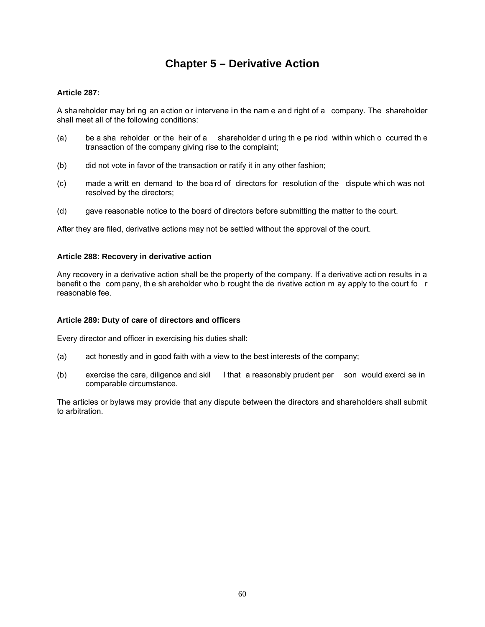## **Chapter 5 – Derivative Action**

## **Article 287:**

A shareholder may bri ng an action or intervene in the nam e and right of a company. The shareholder shall meet all of the following conditions:

- (a) be a sha reholder or the heir of a shareholder d uring th e pe riod within which o ccurred th e transaction of the company giving rise to the complaint;
- (b) did not vote in favor of the transaction or ratify it in any other fashion;
- (c) made a writt en demand to the boa rd of directors for resolution of the dispute whi ch was not resolved by the directors;
- (d) gave reasonable notice to the board of directors before submitting the matter to the court.

After they are filed, derivative actions may not be settled without the approval of the court.

#### **Article 288: Recovery in derivative action**

Any recovery in a derivative action shall be the property of the company. If a derivative action results in a benefit o the com pany, the sh areholder who b rought the de rivative action m ay apply to the court fo r reasonable fee.

#### **Article 289: Duty of care of directors and officers**

Every director and officer in exercising his duties shall:

- (a) act honestly and in good faith with a view to the best interests of the company;
- (b) exercise the care, diligence and skil l that a reasonably prudent per son would exerci se in comparable circumstance.

The articles or bylaws may provide that any dispute between the directors and shareholders shall submit to arbitration.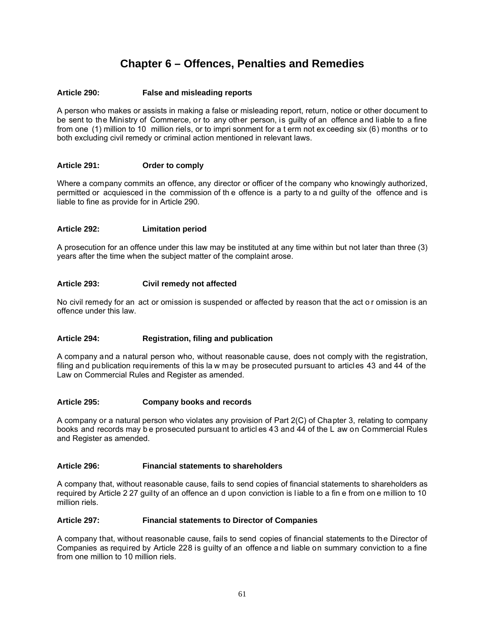## **Chapter 6 – Offences, Penalties and Remedies**

## **Article 290: False and misleading reports**

A person who makes or assists in making a false or misleading report, return, notice or other document to be sent to the Ministry of Commerce, or to any other person, is guilty of an offence and liable to a fine from one (1) million to 10 million riels, or to impri sonment for a t erm not ex ceeding six (6) months or to both excluding civil remedy or criminal action mentioned in relevant laws.

#### **Article 291: Order to comply**

Where a company commits an offence, any director or officer of the company who knowingly authorized, permitted or acquiesced in the commission of th e offence is a party to a nd guilty of the offence and is liable to fine as provide for in Article 290.

## **Article 292: Limitation period**

A prosecution for an offence under this law may be instituted at any time within but not later than three (3) years after the time when the subject matter of the complaint arose.

## **Article 293: Civil remedy not affected**

No civil remedy for an act or omission is suspended or affected by reason that the act or omission is an offence under this law.

#### **Article 294: Registration, filing and publication**

A company and a natural person who, without reasonable cause, does not comply with the registration, filing and publication requirements of this la w may be prosecuted pursuant to articles 43 and 44 of the Law on Commercial Rules and Register as amended.

#### **Article 295: Company books and records**

A company or a natural person who violates any provision of Part 2(C) of Chapter 3, relating to company books and records may b e prosecuted pursuant to articl es 43 and 44 of the L aw on Commercial Rules and Register as amended.

#### **Article 296: Financial statements to shareholders**

A company that, without reasonable cause, fails to send copies of financial statements to shareholders as required by Article 2 27 guilty of an offence an d upon conviction is l iable to a fin e from on e million to 10 million riels.

#### **Article 297: Financial statements to Director of Companies**

A company that, without reasonable cause, fails to send copies of financial statements to the Director of Companies as required by Article 228 is guilty of an offence a nd liable on summary conviction to a fine from one million to 10 million riels.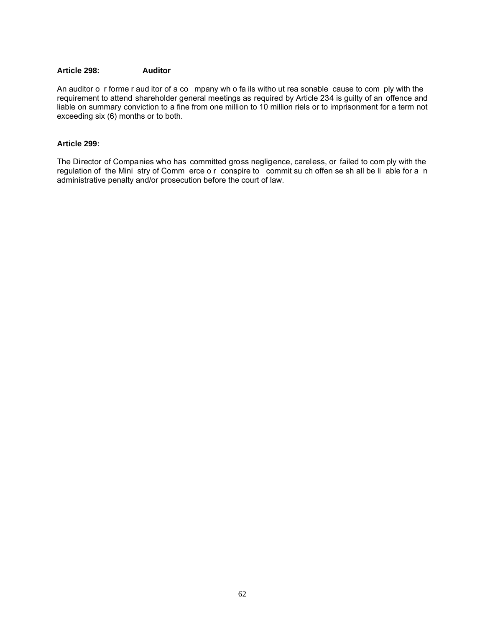## **Article 298: Auditor**

An auditor o r forme r aud itor of a co mpany wh o fa ils witho ut rea sonable cause to com ply with the requirement to attend shareholder general meetings as required by Article 234 is guilty of an offence and liable on summary conviction to a fine from one million to 10 million riels or to imprisonment for a term not exceeding six (6) months or to both.

## **Article 299:**

The Director of Companies who has committed gross negligence, careless, or failed to com ply with the regulation of the Mini stry of Comm erce o r conspire to commit su ch offen se sh all be li able for a n administrative penalty and/or prosecution before the court of law.